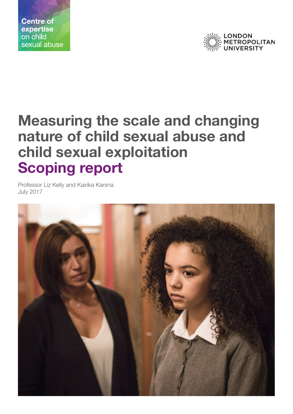



# **Measuring the scale and changing nature of child sexual abuse and child sexual exploitation Scoping report**

Professor Liz Kelly and Kairika Karsna July 2017

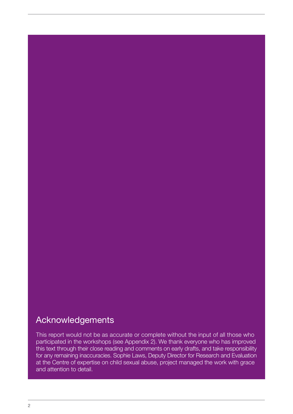## <span id="page-1-0"></span>Acknowledgements

This report would not be as accurate or complete without the input of all those who participated in the workshops (see Appendix 2). We thank everyone who has improved this text through their close reading and comments on early drafts, and take responsibility for any remaining inaccuracies. Sophie Laws, Deputy Director for Research and Evaluation at the Centre of expertise on child sexual abuse, project managed the work with grace and attention to detail.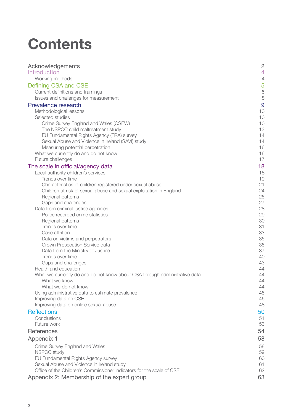# **Contents**

| Acknowledgements                                                           | $\overline{c}$           |
|----------------------------------------------------------------------------|--------------------------|
| Introduction                                                               | $\overline{4}$           |
| Working methods                                                            | $\overline{\mathcal{A}}$ |
| Defining CSA and CSE                                                       | 5                        |
| Current definitions and framings                                           | 5                        |
| Issues and challenges for measurement                                      | 8                        |
| Prevalence research                                                        | 9                        |
| Methodological lessons                                                     | 1C                       |
| Selected studies                                                           | 1C                       |
| Crime Survey England and Wales (CSEW)                                      | 1C                       |
| The NSPCC child maltreatment study                                         | 13                       |
| EU Fundamental Rights Agency (FRA) survey                                  | 14                       |
| Sexual Abuse and Violence in Ireland (SAVI) study                          | 14                       |
| Measuring potential perpetration                                           | 16                       |
| What we currently do and do not know                                       | 16                       |
| Future challenges                                                          | 17                       |
| The scale in official/agency data                                          | 18                       |
| Local authority children's services                                        | 18                       |
| Trends over time                                                           | 19                       |
| Characteristics of children registered under sexual abuse                  | 21                       |
| Children at risk of sexual abuse and sexual exploitation in England        | 24                       |
| Regional patterns                                                          | 25                       |
| Gaps and challenges                                                        | 27<br>28                 |
| Data from criminal justice agencies<br>Police recorded crime statistics    | 29                       |
| Regional patterns                                                          | 3C                       |
| Trends over time                                                           | 31                       |
| Case attrition                                                             | 33                       |
| Data on victims and perpetrators                                           | 35                       |
| Crown Prosecution Service data                                             | 35                       |
| Data from the Ministry of Justice                                          | 37                       |
| Trends over time                                                           | 4C                       |
| Gaps and challenges                                                        | 43                       |
| Health and education                                                       | 44                       |
| What we currently do and do not know about CSA through administrative data | 44                       |
| What we know                                                               | 44                       |
| What we do not know                                                        | 44                       |
| Using administrative data to estimate prevalence                           | 45                       |
| Improving data on CSE                                                      | 46                       |
| Improving data on online sexual abuse                                      | 48                       |
| <b>Reflections</b>                                                         | 50                       |
| Conclusions                                                                | 51                       |
| Future work                                                                | 53                       |
| References                                                                 | 54                       |
| Appendix 1                                                                 | 58                       |
| Crime Survey England and Wales                                             | 58                       |
| <b>NSPCC study</b>                                                         | 59                       |
| EU Fundamental Rights Agency survey                                        | <b>60</b>                |
| Sexual Abuse and Violence in Ireland study                                 | 61                       |
| Office of the Children's Commissioner indicators for the scale of CSE      | 62                       |
| Appendix 2: Membership of the expert group                                 | 63                       |
|                                                                            |                          |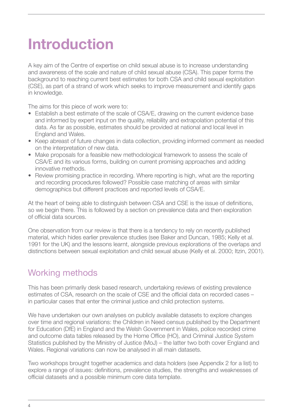# <span id="page-3-0"></span>**Introduction**

A key aim of the Centre of expertise on child sexual abuse is to increase understanding and awareness of the scale and nature of child sexual abuse (CSA). This paper forms the background to reaching current best estimates for both CSA and child sexual exploitation (CSE), as part of a strand of work which seeks to improve measurement and identify gaps in knowledge.

The aims for this piece of work were to:

- Establish a best estimate of the scale of CSA/E, drawing on the current evidence base and informed by expert input on the quality, reliability and extrapolation potential of this data. As far as possible, estimates should be provided at national and local level in England and Wales.
- Keep abreast of future changes in data collection, providing informed comment as needed on the interpretation of new data.
- Make proposals for a feasible new methodological framework to assess the scale of CSA/E and its various forms, building on current promising approaches and adding innovative methods.
- Review promising practice in recording. Where reporting is high, what are the reporting and recording procedures followed? Possible case matching of areas with similar demographics but different practices and reported levels of CSA/E.

At the heart of being able to distinguish between CSA and CSE is the issue of definitions, so we begin there. This is followed by a section on prevalence data and then exploration of official data sources.

One observation from our review is that there is a tendency to rely on recently published material, which hides earlier prevalence studies (see Baker and Duncan, 1985; Kelly et al. 1991 for the UK) and the lessons learnt, alongside previous explorations of the overlaps and distinctions between sexual exploitation and child sexual abuse (Kelly et al. 2000; Itzin, 2001).

## Working methods

This has been primarily desk based research, undertaking reviews of existing prevalence estimates of CSA, research on the scale of CSE and the official data on recorded cases – in particular cases that enter the criminal justice and child protection systems.

We have undertaken our own analyses on publicly available datasets to explore changes over time and regional variations: the Children in Need census published by the Department for Education (DfE) in England and the Welsh Government in Wales, police recorded crime and outcome data tables released by the Home Office (HO), and Criminal Justice System Statistics published by the Ministry of Justice (MoJ) – the latter two both cover England and Wales. Regional variations can now be analysed in all main datasets.

Two workshops brought together academics and data holders (see Appendix 2 for a list) to explore a range of issues: definitions, prevalence studies, the strengths and weaknesses of official datasets and a possible minimum core data template.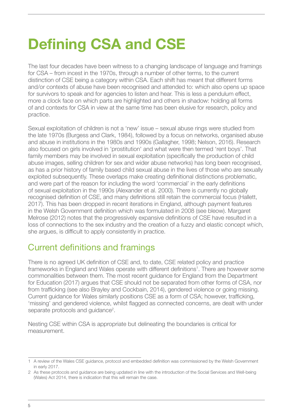# <span id="page-4-0"></span>**Defining CSA and CSE**

The last four decades have been witness to a changing landscape of language and framings for CSA – from incest in the 1970s, through a number of other terms, to the current distinction of CSE being a category within CSA. Each shift has meant that different forms and/or contexts of abuse have been recognised and attended to: which also opens up space for survivors to speak and for agencies to listen and hear. This is less a pendulum effect, more a clock face on which parts are highlighted and others in shadow: holding all forms of and contexts for CSA in view at the same time has been elusive for research, policy and practice.

Sexual exploitation of children is not a 'new' issue – sexual abuse rings were studied from the late 1970s (Burgess and Clark, 1984), followed by a focus on networks, organised abuse and abuse in institutions in the 1980s and 1990s (Gallagher, 1998; Nelson, 2016). Research also focused on girls involved in 'prostitution' and what were then termed 'rent boys'. That family members may be involved in sexual exploitation (specifically the production of child abuse images, selling children for sex and wider abuse networks) has long been recognised, as has a prior history of family based child sexual abuse in the lives of those who are sexually exploited subsequently. These overlaps make creating definitional distinctions problematic, and were part of the reason for including the word 'commercial' in the early definitions of sexual exploitation in the 1990s (Alexander et al. 2000). There is currently no globally recognised definition of CSE, and many definitions still retain the commercial focus (Hallett, 2017). This has been dropped in recent iterations in England, although payment features in the Welsh Government definition which was formulated in 2008 (see bleow). Margaret Melrose (2012) notes that the progressively expansive definitions of CSE have resulted in a loss of connections to the sex industry and the creation of a fuzzy and elastic concept which, she argues, is difficult to apply consistently in practice.

## Current definitions and framings

There is no agreed UK definition of CSE and, to date, CSE related policy and practice frameworks in England and Wales operate with different definitions<sup>1</sup>. There are however some commonalities between them. The most recent guidance for England from the Department for Education (2017) argues that CSE should not be separated from other forms of CSA, nor from trafficking (see also Brayley and Cockbain, 2014), gendered violence or going missing. Current guidance for Wales similarly positions CSE as a form of CSA; however, trafficking, 'missing' and gendered violence, whilst flagged as connected concerns, are dealt with under separate protocols and guidance<sup>2</sup>.

Nesting CSE within CSA is appropriate but delineating the boundaries is critical for measurement.

<sup>1</sup> A review of the Wales CSE guidance, protocol and embedded definition was commissioned by the Welsh Government in early 2017.

<sup>2</sup> As these protocols and guidance are being updated in line with the introduction of the Social Services and Well-being (Wales) Act 2014, there is indication that this will remain the case.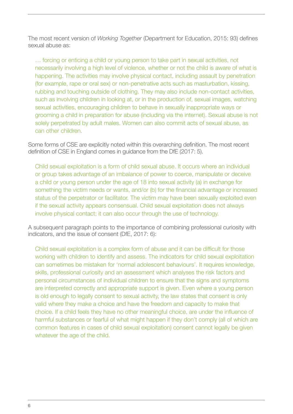The most recent version of *Working Together* (Department for Education, 2015: 93) defines sexual abuse as:

… forcing or enticing a child or young person to take part in sexual activities, not necessarily involving a high level of violence, whether or not the child is aware of what is happening. The activities may involve physical contact, including assault by penetration (for example, rape or oral sex) or non-penetrative acts such as masturbation, kissing, rubbing and touching outside of clothing. They may also include non-contact activities, such as involving children in looking at, or in the production of, sexual images, watching sexual activities, encouraging children to behave in sexually inappropriate ways or grooming a child in preparation for abuse (including via the internet). Sexual abuse is not solely perpetrated by adult males. Women can also commit acts of sexual abuse, as can other children.

Some forms of CSE are explicitly noted within this overarching definition. The most recent definition of CSE in England comes in guidance from the DfE (2017: 5).

Child sexual exploitation is a form of child sexual abuse. It occurs where an individual or group takes advantage of an imbalance of power to coerce, manipulate or deceive a child or young person under the age of 18 into sexual activity (a) in exchange for something the victim needs or wants, and/or (b) for the financial advantage or increased status of the perpetrator or facilitator. The victim may have been sexually exploited even if the sexual activity appears consensual. Child sexual exploitation does not always involve physical contact; it can also occur through the use of technology.

A subsequent paragraph points to the importance of combining professional curiosity with indicators, and the issue of consent (DfE, 2017: 6):

Child sexual exploitation is a complex form of abuse and it can be difficult for those working with children to identify and assess. The indicators for child sexual exploitation can sometimes be mistaken for 'normal adolescent behaviours'. It requires knowledge, skills, professional curiosity and an assessment which analyses the risk factors and personal circumstances of individual children to ensure that the signs and symptoms are interpreted correctly and appropriate support is given. Even where a young person is old enough to legally consent to sexual activity, the law states that consent is only valid where they make a choice and have the freedom and capacity to make that choice. If a child feels they have no other meaningful choice, are under the influence of harmful substances or fearful of what might happen if they don't comply (all of which are common features in cases of child sexual exploitation) consent cannot legally be given whatever the age of the child.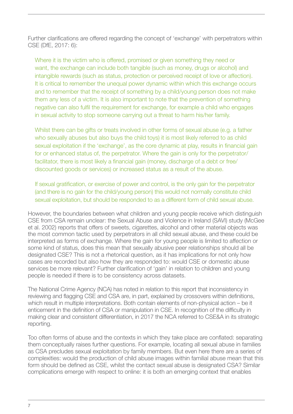Further clarifications are offered regarding the concept of 'exchange' with perpetrators within CSE (DfE, 2017: 6):

Where it is the victim who is offered, promised or given something they need or want, the exchange can include both tangible (such as money, drugs or alcohol) and intangible rewards (such as status, protection or perceived receipt of love or affection). It is critical to remember the unequal power dynamic within which this exchange occurs and to remember that the receipt of something by a child/young person does not make them any less of a victim. It is also important to note that the prevention of something negative can also fulfil the requirement for exchange, for example a child who engages in sexual activity to stop someone carrying out a threat to harm his/her family.

Whilst there can be gifts or treats involved in other forms of sexual abuse (e.g. a father who sexually abuses but also buys the child toys) it is most likely referred to as child sexual exploitation if the 'exchange', as the core dynamic at play, results in financial gain for or enhanced status of, the perpetrator. Where the gain is only for the perpetrator/ facilitator, there is most likely a financial gain (money, discharge of a debt or free/ discounted goods or services) or increased status as a result of the abuse.

If sexual gratification, or exercise of power and control, is the only gain for the perpetrator (and there is no gain for the child/young person) this would not normally constitute child sexual exploitation, but should be responded to as a different form of child sexual abuse.

However, the boundaries between what children and young people receive which distinguish CSE from CSA remain unclear: the Sexual Abuse and Violence in Ireland (SAVI) study (McGee et al. 2002) reports that offers of sweets, cigarettes, alcohol and other material objects was the most common tactic used by perpetrators in all child sexual abuse, and these could be interpreted as forms of exchange. Where the gain for young people is limited to affection or some kind of status, does this mean that sexually abusive peer relationships should all be designated CSE? This is not a rhetorical question, as it has implications for not only how cases are recorded but also how they are responded to: would CSE or domestic abuse services be more relevant? Further clarification of 'gain' in relation to children and young people is needed if there is to be consistency across datasets.

The National Crime Agency (NCA) has noted in relation to this report that inconsistency in reviewing and flagging CSE and CSA are, in part, explained by crossovers within definitions, which result in multiple interpretations. Both contain elements of non-physical action – be it enticement in the definition of CSA or manipulation in CSE. In recognition of the difficulty in making clear and consistent differentiation, in 2017 the NCA referred to CSE&A in its strategic reporting.

Too often forms of abuse and the contexts in which they take place are conflated: separating them conceptually raises further questions. For example, locating all sexual abuse in families as CSA precludes sexual exploitation by family members. But even here there are a series of complexities: would the production of child abuse images within familial abuse mean that this form should be defined as CSE, whilst the contact sexual abuse is designated CSA? Similar complications emerge with respect to online: it is both an emerging context that enables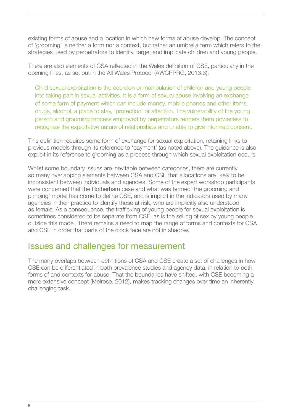<span id="page-7-0"></span>existing forms of abuse and a location in which new forms of abuse develop. The concept of 'grooming' is neither a form nor a context, but rather an umbrella term which refers to the strategies used by perpetrators to identify, target and implicate children and young people.

There are also elements of CSA reflected in the Wales definition of CSE, particularly in the opening lines, as set out in the All Wales Protocol (AWCPPRG, 2013:3):

Child sexual exploitation is the coercion or manipulation of children and young people into taking part in sexual activities. It is a form of sexual abuse involving an exchange of some form of payment which can include money, mobile phones and other items, drugs, alcohol, a place to stay, 'protection' or affection. The vulnerability of the young person and grooming process employed by perpetrators renders them powerless to recognise the exploitative nature of relationships and unable to give informed consent.

This definition requires some form of exchange for sexual exploitation, retaining links to previous models through its reference to 'payment' (as noted above). The guidance is also explicit in its reference to grooming as a process through which sexual exploitation occurs.

Whilst some boundary issues are inevitable between categories, there are currently so many overlapping elements between CSA and CSE that allocations are likely to be inconsistent between individuals and agencies. Some of the expert workshop participants were concerned that the Rotherham case and what was termed 'the grooming and pimping' model has come to define CSE, and is implicit in the indicators used by many agencies in their practice to identify those at risk, who are implicitly also understood as female. As a consequence, the trafficking of young people for sexual exploitation is sometimes considered to be separate from CSE, as is the selling of sex by young people outside this model. There remains a need to map the range of forms and contexts for CSA and CSE in order that parts of the clock face are not in shadow.

## Issues and challenges for measurement

The many overlaps between definitions of CSA and CSE create a set of challenges in how CSE can be differentiated in both prevalence studies and agency data, in relation to both forms of and contexts for abuse. That the boundaries have shifted, with CSE becoming a more extensive concept (Melrose, 2012), makes tracking changes over time an inherently challenging task.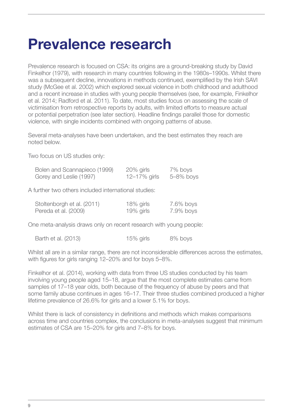# <span id="page-8-0"></span>**Prevalence research**

Prevalence research is focused on CSA: its origins are a ground-breaking study by David Finkelhor (1979), with research in many countries following in the 1980s–1990s. Whilst there was a subsequent decline, innovations in methods continued, exemplified by the Irish SAVI study (McGee et al. 2002) which explored sexual violence in both childhood and adulthood and a recent increase in studies with young people themselves (see, for example, Finkelhor et al. 2014; Radford et al. 2011). To date, most studies focus on assessing the scale of victimisation from retrospective reports by adults, with limited efforts to measure actual or potential perpetration (see later section). Headline findings parallel those for domestic violence, with single incidents combined with ongoing patterns of abuse.

Several meta-analyses have been undertaken, and the best estimates they reach are noted below.

Two focus on US studies only:

| Bolen and Scannapieco (1999) | $20\%$ girls | 7% boys   |
|------------------------------|--------------|-----------|
| Gorey and Leslie (1997)      | 12–17% girls | 5–8% boys |

A further two others included international studies:

| Stoltenborgh et al. (2011) | 18% girls    | 7.6% boys |
|----------------------------|--------------|-----------|
| Pereda et al. (2009)       | $19\%$ girls | 7.9% boys |

One meta-analysis draws only on recent research with young people:

|  | Barth et al. (2013) | $15\%$ girls | 8% boys |
|--|---------------------|--------------|---------|
|--|---------------------|--------------|---------|

Whilst all are in a similar range, there are not inconsiderable differences across the estimates, with figures for girls ranging 12–20% and for boys 5–8%.

Finkelhor et al. (2014), working with data from three US studies conducted by his team involving young people aged 15–18, argue that the most complete estimates came from samples of 17–18 year olds, both because of the frequency of abuse by peers and that some family abuse continues in ages 16–17. Their three studies combined produced a higher lifetime prevalence of 26.6% for girls and a lower 5.1% for boys.

Whilst there is lack of consistency in definitions and methods which makes comparisons across time and countries complex, the conclusions in meta-analyses suggest that minimum estimates of CSA are 15–20% for girls and 7–8% for boys.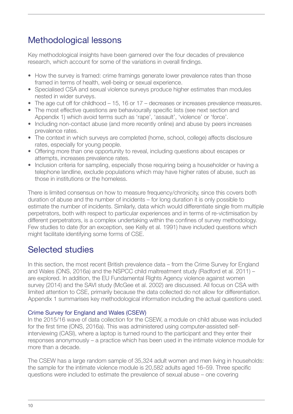## <span id="page-9-0"></span>Methodological lessons

Key methodological insights have been garnered over the four decades of prevalence research, which account for some of the variations in overall findings.

- How the survey is framed: crime framings generate lower prevalence rates than those framed in terms of health, well-being or sexual experience.
- Specialised CSA and sexual violence surveys produce higher estimates than modules nested in wider surveys.
- The age cut off for childhood 15, 16 or 17 decreases or increases prevalence measures.
- The most effective questions are behaviourally specific lists (see next section and Appendix 1) which avoid terms such as 'rape', 'assault', 'violence' or 'force'.
- Including non-contact abuse (and more recently online) and abuse by peers increases prevalence rates.
- The context in which surveys are completed (home, school, college) affects disclosure rates, especially for young people.
- Offering more than one opportunity to reveal, including questions about escapes or attempts, increases prevalence rates.
- Inclusion criteria for sampling, especially those requiring being a householder or having a telephone landline, exclude populations which may have higher rates of abuse, such as those in institutions or the homeless.

There is limited consensus on how to measure frequency/chronicity, since this covers both duration of abuse and the number of incidents – for long duration it is only possible to estimate the number of incidents. Similarly, data which would differentiate single from multiple perpetrators, both with respect to particular experiences and in terms of re-victimisation by different perpetrators, is a complex undertaking within the confines of survey methodology. Few studies to date (for an exception, see Kelly et al. 1991) have included questions which might facilitate identifying some forms of CSE.

## Selected studies

In this section, the most recent British prevalence data – from the Crime Survey for England and Wales (ONS, 2016a) and the NSPCC child maltreatment study (Radford et al. 2011) – are explored. In addition, the EU Fundamental Rights Agency violence against women survey (2014) and the SAVI study (McGee et al. 2002) are discussed. All focus on CSA with limited attention to CSE, primarily because the data collected do not allow for differentiation. Appendix 1 summarises key methodological information including the actual questions used.

## Crime Survey for England and Wales (CSEW)

In the 2015/16 wave of data collection for the CSEW, a module on child abuse was included for the first time (ONS, 2016a). This was administered using computer-assisted selfinterviewing (CASI), where a laptop is turned round to the participant and they enter their responses anonymously – a practice which has been used in the intimate violence module for more than a decade.

The CSEW has a large random sample of 35,324 adult women and men living in households: the sample for the intimate violence module is 20,582 adults aged 16–59. Three specific questions were included to estimate the prevalence of sexual abuse – one covering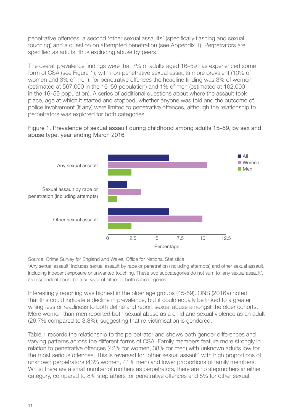penetrative offences, a second 'other sexual assaults' (specifically flashing and sexual touching) and a question on attempted penetration (see Appendix 1). Perpetrators are specified as adults, thus excluding abuse by peers.

The overall prevalence findings were that 7% of adults aged 16–59 has experienced some form of CSA (see Figure 1), with non-penetrative sexual assaults more prevalent (10% of women and 3% of men): for penetrative offences the headline finding was 3% of women (estimated at 567,000 in the 16–59 population) and 1% of men (estimated at 102,000 in the 16–59 population). A series of additional questions about where the assault took place, age at which it started and stopped, whether anyone was told and the outcome of police involvement (if any) were limited to penetrative offences, although the relationship to perpetrators was explored for both categories.





Source: Crime Survey for England and Wales, Office for National Statistics

'Any sexual assault' includes sexual assault by rape or penetration (including attempts) and other sexual assault, including indecent exposure or unwanted touching. These two subcategories do not sum to 'any sexual assault', as respondent could be a survivor of either or both subcategories.

Interestingly reporting was highest in the older age groups (45-59). ONS (2016a) noted that this could indicate a decline in prevalence, but it could equally be linked to a greater willingness or readiness to both define and report sexual abuse amongst the older cohorts. More women than men reported both sexual abuse as a child and sexual violence as an adult (26.7% compared to 3.8%), suggesting that re-victimisation is gendered.

Table 1 records the relationship to the perpetrator and shows both gender differences and varying patterns across the different forms of CSA. Family members feature more strongly in relation to penetrative offences (42% for women, 38% for men) with unknown adults low for the most serious offences. This is reversed for 'other sexual assault' with high proportions of unknown perpetrators (43% women, 41% men) and lower proportions of family members. Whilst there are a small number of mothers as perpetrators, there are no stepmothers in either category, compared to 8% stepfathers for penetrative offences and 5% for other sexual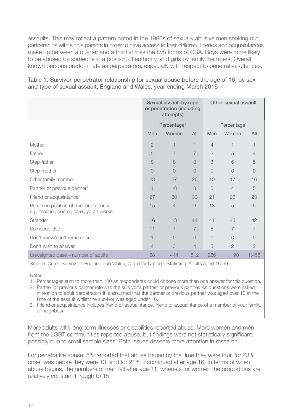assaults. This may reflect a pattern noted in the 1980s of sexually abusive men seeking out partnerships with single parents in order to have access to their children. Friends and acquaintances make up between a quarter and a third across the two forms of CSA. Boys were more likely to be abused by someone in a position of authority, and girls by family members. Overall known persons predominate as perpetrators, especially with respect to penetrative offences.

Table 1. Survivor-perpetrator relationship for sexual abuse before the age of 16, by sex and type of sexual assault, England and Wales, year ending March 2016

|                                                                                       | Sexual assault by rape<br>or penetration (including<br>attempts) |                         | Other sexual assault |                         |                |                |
|---------------------------------------------------------------------------------------|------------------------------------------------------------------|-------------------------|----------------------|-------------------------|----------------|----------------|
|                                                                                       |                                                                  | Percentage <sup>1</sup> |                      | Percentage <sup>1</sup> |                |                |
|                                                                                       | Men                                                              | Women                   | All                  | Men                     | Women          | All            |
| Mother                                                                                | $\overline{2}$                                                   | 1                       | 1                    | $\overline{4}$          |                | 1              |
| Father                                                                                | 5                                                                | $\overline{7}$          | $\overline{7}$       | $\overline{2}$          | 5              | $\overline{4}$ |
| Step-father                                                                           | 8                                                                | 8                       | 8                    | 3                       | 6              | 5              |
| Step-mother                                                                           | $\overline{O}$                                                   | 0                       | $\overline{O}$       | $\cup$                  | $\cup$         | $\cup$         |
| Other family member                                                                   | 23                                                               | 27                      | 26                   | 10                      | 17             | 16             |
| Partner or previous partner <sup>2</sup>                                              |                                                                  | 10                      | 8                    | 5                       | $\overline{4}$ | 5              |
| Friend or acquaintance <sup>3</sup>                                                   | 27                                                               | 30                      | 30                   | 21                      | 23             | 23             |
| Person in position of trust or authority<br>e.g. teacher, doctor, carer, youth worker | 15                                                               | $\overline{4}$          | 6                    | 13                      | 5              | 6              |
| Stranger                                                                              | 16                                                               | 13                      | 14                   | 41                      | 43             | 42             |
| Someone else                                                                          | 11                                                               | $\overline{7}$          | $\overline{7}$       | 8                       | $\overline{7}$ | $\overline{7}$ |
| Don't know/can't remember                                                             | ⊣                                                                | $\bigcirc$              | $\Omega$             | $\bigcirc$              | $\bigcirc$     | $\bigcirc$     |
| Don't wish to answer                                                                  | 4                                                                | 3                       | $\overline{4}$       | 3                       | $\overline{2}$ | $\overline{2}$ |
| Unweighted base - number of adults                                                    | 68                                                               | 444                     | 512                  | 266                     | 1,190          | 1,456          |

Source: Crime Survey for England and Wales, Office for National Statistics. Adults aged 16-59

Notes:

1. Percentages sum to more than 100 as respondents could choose more than one answer for this question.

2. Partner or previous partner refers to the survivor's partner or previous partner. As questions were asked in relation to adult perpetrators it is assumed that the partner or previous partner was aged over 16 at the time of the assault whilst the survivor was aged under 16.

3. Friend or acquaintance includes friend or acquaintance, friend or acquaintance of a member of your family, or neighbour.

More adults with long-term illnesses or disabilities reported abuse. More women and men from the LGBT communities reported abuse, but findings were not statistically significant, possibly due to small sample sizes. Both issues deserve more attention in research.

For penetrative abuse, 5% reported that abuse began by the time they were four, for 73% onset was before they were 13, and for 21% it continued after age 16. In terms of when abuse begins, the numbers of men fall after age 11, whereas for women the proportions are relatively constant through to 15.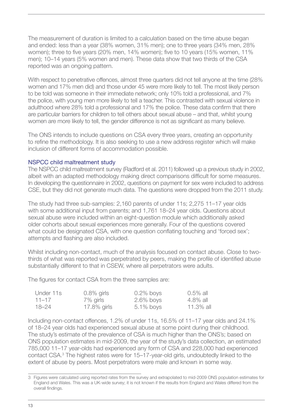<span id="page-12-0"></span>The measurement of duration is limited to a calculation based on the time abuse began and ended: less than a year (38% women, 31% men); one to three years (34% men, 28% women); three to five years (20% men, 14% women); five to 10 years (15% women, 11% men); 10–14 years (5% women and men). These data show that two thirds of the CSA reported was an ongoing pattern.

With respect to penetrative offences, almost three quarters did not tell anyone at the time (28% women and 17% men did) and those under 45 were more likely to tell. The most likely person to be told was someone in their immediate network; only 10% told a professional, and 7% the police, with young men more likely to tell a teacher. This contrasted with sexual violence in adulthood where 28% told a professional and 17% the police. These data confirm that there are particular barriers for children to tell others about sexual abuse – and that, whilst young women are more likely to tell, the gender difference is not as significant as many believe.

The ONS intends to include questions on CSA every three years, creating an opportunity to refine the methodology. It is also seeking to use a new address register which will make inclusion of different forms of accommodation possible.

#### NSPCC child maltreatment study

The NSPCC child maltreatment survey (Radford et al. 2011) followed up a previous study in 2002, albeit with an adapted methodology making direct comparisons difficult for some measures. In developing the questionnaire in 2002, questions on payment for sex were included to address CSE, but they did not generate much data. The questions were dropped from the 2011 study.

The study had three sub-samples: 2,160 parents of under 11s; 2,275 11–17 year olds with some additional input from parents; and 1,761 18–24 year olds. Questions about sexual abuse were included within an eight-question module which additionally asked older cohorts about sexual experiences more generally. Four of the questions covered what could be designated CSA, with one question conflating touching and 'forced sex'; attempts and flashing are also included.

Whilst including non-contact, much of the analysis focused on contact abuse. Close to twothirds of what was reported was perpetrated by peers, making the profile of identified abuse substantially different to that in CSEW, where all perpetrators were adults.

The figures for contact CSA from the three samples are:

| Under 11s | $0.8\%$ girls  | $0.2\%$ boys | 0.5% all  |
|-----------|----------------|--------------|-----------|
| $11 - 17$ | 7% girls       | $2.6\%$ boys | 4.8% all  |
| $18 - 24$ | $17.8\%$ girls | $5.1\%$ boys | 11.3% all |

Including non-contact offences, 1.2% of under 11s, 16.5% of 11–17 year olds and 24.1% of 18–24 year olds had experienced sexual abuse at some point during their childhood. The study's estimate of the prevalence of CSA is much higher than the ONS's; based on ONS population estimates in mid-2009, the year of the study's data collection, an estimated 785,000 11–17 year-olds had experienced any form of CSA and 228,000 had experienced contact CSA.<sup>3</sup> The highest rates were for 15–17-year-old girls, undoubtedly linked to the extent of abuse by peers. Most perpetrators were male and known in some way.

<sup>3</sup> Figures were calculated using reported rates from the survey and extrapolated to mid-2009 ONS population estimates for England and Wales. This was a UK-wide survey; it is not known if the results from England and Wales differed from the overall findings.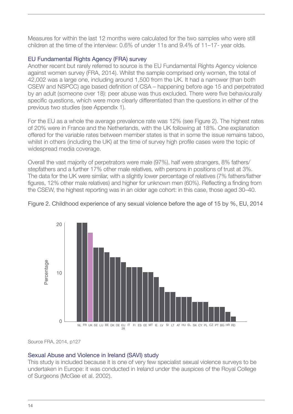<span id="page-13-0"></span>Measures for within the last 12 months were calculated for the two samples who were still children at the time of the interview: 0.6% of under 11s and 9.4% of 11–17- year olds.

## EU Fundamental Rights Agency (FRA) survey

Another recent but rarely referred to source is the EU Fundamental Rights Agency violence against women survey (FRA, 2014). Whilst the sample comprised only women, the total of 42,002 was a large one, including around 1,500 from the UK. It had a narrower (than both CSEW and NSPCC) age based definition of CSA – happening before age 15 and perpetrated by an adult (someone over 18): peer abuse was thus excluded. There were five behaviourally specific questions, which were more clearly differentiated than the questions in either of the previous two studies (see Appendix 1).

For the EU as a whole the average prevalence rate was 12% (see Figure 2). The highest rates of 20% were in France and the Netherlands, with the UK following at 18%. One explanation offered for the variable rates between member states is that in some the issue remains taboo, whilst in others (including the UK) at the time of survey high profile cases were the topic of widespread media coverage.

Overall the vast majority of perpetrators were male (97%), half were strangers, 8% fathers/ stepfathers and a further 17% other male relatives, with persons in positions of trust at 3%. The data for the UK were similar, with a slightly lower percentage of relatives (7% fathers/father figures, 12% other male relatives) and higher for unknown men (60%). Reflecting a finding from the CSEW, the highest reporting was in an older age cohort: in this case, those aged 30–40.





Source FRA, 2014, p127

## Sexual Abuse and Violence in Ireland (SAVI) study

This study is included because it is one of very few specialist sexual violence surveys to be undertaken in Europe: it was conducted in Ireland under the auspices of the Royal College of Surgeons (McGee et al. 2002).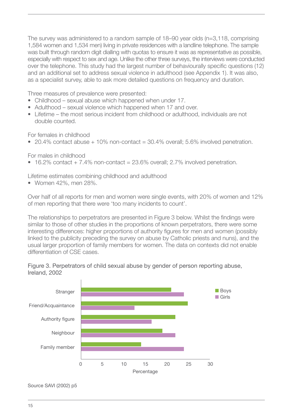The survey was administered to a random sample of 18–90 year olds (n=3,118, comprising 1,584 women and 1,534 men) living in private residences with a landline telephone. The sample was built through random digit dialling with quotas to ensure it was as representative as possible, especially with respect to sex and age. Unlike the other three surveys, the interviews were conducted over the telephone. This study had the largest number of behaviourally specific questions (12) and an additional set to address sexual violence in adulthood (see Appendix 1). It was also, as a specialist survey, able to ask more detailed questions on frequency and duration.

Three measures of prevalence were presented:

- Childhood sexual abuse which happened when under 17.
- Adulthood sexual violence which happened when 17 and over.
- Lifetime the most serious incident from childhood or adulthood, individuals are not double counted.

For females in childhood

• 20.4% contact abuse  $+10\%$  non-contact  $=30.4\%$  overall; 5.6% involved penetration.

For males in childhood

• 16.2% contact  $+ 7.4$ % non-contact = 23.6% overall; 2.7% involved penetration.

Lifetime estimates combining childhood and adulthood

• Women 42%, men 28%.

Over half of all reports for men and women were single events, with 20% of women and 12% of men reporting that there were 'too many incidents to count'.

The relationships to perpetrators are presented in Figure 3 below. Whilst the findings were similar to those of other studies in the proportions of known perpetrators, there were some interesting differences: higher proportions of authority figures for men and women (possibly linked to the publicity preceding the survey on abuse by Catholic priests and nuns), and the usual larger proportion of family members for women. The data on contexts did not enable differentiation of CSE cases.



Figure 3. Perpetrators of child sexual abuse by gender of person reporting abuse, Ireland, 2002

Source SAVI (2002) p5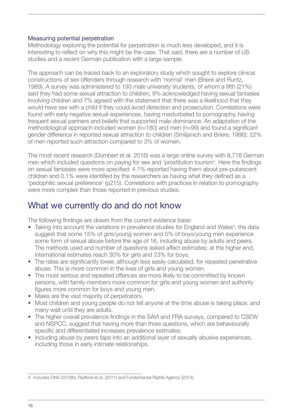### <span id="page-15-0"></span>Measuring potential perpetration

Methodology exploring the potential for perpetration is much less developed, and it is interesting to reflect on why this might be the case. That said, there are a number of US studies and a recent German publication with a large sample.

The approach can be traced back to an exploratory study which sought to explore clinical constructions of sex offenders through research with 'normal' men (Briere and Runtz, 1989). A survey was administered to 193 male university students, of whom a fifth (21%) said they had some sexual attraction to children, 9% acknowledged having sexual fantasies involving children and 7% agreed with the statement that there was a likelihood that they would have sex with a child if they could avoid detection and prosecution. Correlations were found with early negative sexual experiences, having masturbated to pornography, having frequent sexual partners and beliefs that supported male dominance. An adaptation of the methodological approach included women (n=180) and men (n=99) and found a significant gender difference in reported sexual attraction to children (Smiljanich and Briere, 1996): 22% of men reported such attraction compared to 3% of women.

The most recent research (Dombert et al. 2016) was a large online survey with 8,718 German men which included questions on paying for sex and 'prostitution tourism'. Here the findings on sexual fantasies were more specified: 4.1% reported having them about pre-pubescent children and 0.1% were identified by the researchers as having what they defined as a 'pedophilic sexual preference' (p215). Correlations with practices in relation to pornography were more complex than those reported in previous studies.

## What we currently do and do not know

The following findings are drawn from the current evidence base:

- Taking into account the variations in prevalence studies for England and Wales<sup>4</sup>, the data suggest that some 15% of girls/young women and 5% of boys/young men experience some form of sexual abuse before the age of 16, including abuse by adults and peers. The methods used and number of questions asked affect estimates; at the higher end, international estimates reach 30% for girls and 23% for boys.
- The rates are significantly lower, although less easily calculated, for repeated penetrative abuse. This is more common in the lives of girls and young women.
- The most serious and repeated offences are more likely to be committed by known persons, with family members more common for girls and young women and authority figures more common for boys and young men.
- Males are the vast majority of perpetrators.
- Most children and young people do not tell anyone at the time abuse is taking place, and many wait until they are adults.
- The higher overall prevalence findings in the SAVI and FRA surveys, compared to CSEW and NSPCC, suggest that having more than three questions, which are behaviourally specific and differentiated increases prevalence estimates.
- Including abuse by peers taps into an additional layer of sexually abusive experiences, including those in early intimate relationships.

<sup>4</sup> Includes ONS (2016b), Radford et al. (2011) and Fundamental Rights Agency (2014).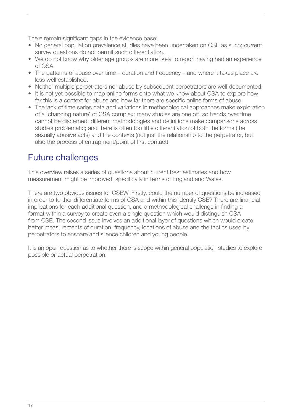<span id="page-16-0"></span>There remain significant gaps in the evidence base:

- No general population prevalence studies have been undertaken on CSE as such; current survey questions do not permit such differentiation.
- We do not know why older age groups are more likely to report having had an experience of CSA.
- The patterns of abuse over time duration and frequency and where it takes place are less well established.
- Neither multiple perpetrators nor abuse by subsequent perpetrators are well documented.
- It is not yet possible to map online forms onto what we know about CSA to explore how far this is a context for abuse and how far there are specific online forms of abuse.
- The lack of time series data and variations in methodological approaches make exploration of a 'changing nature' of CSA complex: many studies are one off, so trends over time cannot be discerned; different methodologies and definitions make comparisons across studies problematic; and there is often too little differentiation of both the forms (the sexually abusive acts) and the contexts (not just the relationship to the perpetrator, but also the process of entrapment/point of first contact).

## Future challenges

This overview raises a series of questions about current best estimates and how measurement might be improved, specifically in terms of England and Wales.

There are two obvious issues for CSEW. Firstly, could the number of questions be increased in order to further differentiate forms of CSA and within this identify CSE? There are financial implications for each additional question, and a methodological challenge in finding a format within a survey to create even a single question which would distinguish CSA from CSE. The second issue involves an additional layer of questions which would create better measurements of duration, frequency, locations of abuse and the tactics used by perpetrators to ensnare and silence children and young people.

It is an open question as to whether there is scope within general population studies to explore possible or actual perpetration.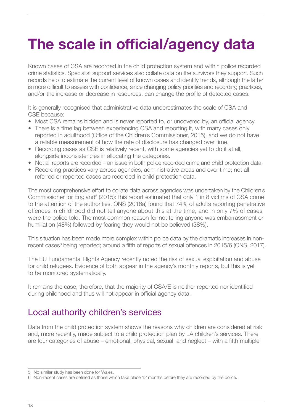# <span id="page-17-0"></span>**The scale in official/agency data**

Known cases of CSA are recorded in the child protection system and within police recorded crime statistics. Specialist support services also collate data on the survivors they support. Such records help to estimate the current level of known cases and identify trends, although the latter is more difficult to assess with confidence, since changing policy priorities and recording practices, and/or the increase or decrease in resources, can change the profile of detected cases.

It is generally recognised that administrative data underestimates the scale of CSA and CSE because:

- Most CSA remains hidden and is never reported to, or uncovered by, an official agency.
- There is a time lag between experiencing CSA and reporting it, with many cases only reported in adulthood (Office of the Children's Commissioner, 2015), and we do not have a reliable measurement of how the rate of disclosure has changed over time.
- Recording cases as CSE is relatively recent, with some agencies yet to do it at all, alongside inconsistencies in allocating the categories.
- Not all reports are recorded an issue in both police recorded crime and child protection data.
- Recording practices vary across agencies, administrative areas and over time; not all referred or reported cases are recorded in child protection data.

The most comprehensive effort to collate data across agencies was undertaken by the Children's Commissioner for England<sup>5</sup> (2015): this report estimated that only 1 in 8 victims of CSA come to the attention of the authorities. ONS (2016a) found that 74% of adults reporting penetrative offences in childhood did not tell anyone about this at the time, and in only 7% of cases were the police told. The most common reason for not telling anyone was embarrassment or humiliation (48%) followed by fearing they would not be believed (38%).

This situation has been made more complex within police data by the dramatic increases in nonrecent cases<sup>6</sup> being reported; around a fifth of reports of sexual offences in 2015/6 (ONS, 2017).

The EU Fundamental Rights Agency recently noted the risk of sexual exploitation and abuse for child refugees. Evidence of both appear in the agency's monthly reports, but this is yet to be monitored systematically.

It remains the case, therefore, that the majority of CSA/E is neither reported nor identified during childhood and thus will not appear in official agency data.

## Local authority children's services

Data from the child protection system shows the reasons why children are considered at risk and, more recently, made subject to a child protection plan by LA children's services. There are four categories of abuse – emotional, physical, sexual, and neglect – with a fifth multiple

<sup>5</sup> No similar study has been done for Wales.

<sup>6</sup> Non-recent cases are defined as those which take place 12 months before they are recorded by the police.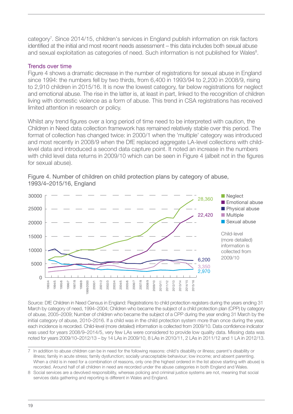<span id="page-18-0"></span>category<sup>7</sup>. Since 2014/15, children's services in England publish information on risk factors identified at the initial and most recent needs assessment – this data includes both sexual abuse and sexual exploitation as categories of need. Such information is not published for Wales<sup>8</sup>.

### Trends over time

Figure 4 shows a dramatic decrease in the number of registrations for sexual abuse in England since 1994: the numbers fell by two thirds, from 6,400 in 1993/94 to 2,200 in 2008/9, rising to 2,910 children in 2015/16. It is now the lowest category, far below registrations for neglect and emotional abuse. The rise in the latter is, at least in part, linked to the recognition of children living with domestic violence as a form of abuse. This trend in CSA registrations has received limited attention in research or policy.

Whilst any trend figures over a long period of time need to be interpreted with caution, the Children in Need data collection framework has remained relatively stable over this period. The format of collection has changed twice: in 2000/1 when the 'multiple' category was introduced and most recently in 2008/9 when the DfE replaced aggregate LA-level collections with childlevel data and introduced a second data capture point. It noted an increase in the numbers with child level data returns in 2009/10 which can be seen in Figure 4 (albeit not in the figures for sexual abuse).



Figure 4. Number of children on child protection plans by category of abuse, 1993/4–2015/16, England

Source: DfE Children in Need Census in England: Registrations to child protection registers during the years ending 31 March by category of need, 1994–2004; Children who became the subject of a child protection plan (CPP) by category of abuse, 2005–2009; Number of children who became the subject of a CPP during the year ending 31 March by the initial category of abuse, 2010–2016. If a child was in the child protection system more than once during the year, each incidence is recorded. Child-level (more detailed) information is collected from 2009/10. Data confidence indicator was used for years 2008/9–2014/5, very few LAs were considered to provide low quality data. Missing data was noted for years 2009/10–2012/13 – by 14 LAs in 2009/10, 8 LAs in 2010/11, 2 LAs in 2011/12 and 1 LA in 2012/13.

<sup>7</sup> In addition to abuse children can be in need for the following reasons: child's disability or illness; parent's disability or illness; family in acute stress; family dysfunction; socially unacceptable behaviour; low income; and absent parenting. When a child is in need for a combination of reasons, only one (the highest ordered in the list above starting with abuse) is recorded. Around half of all children in need are recorded under the abuse categories in both England and Wales.

<sup>8</sup> Social services are a devolved responsibility, whereas policing and criminal justice systems are not, meaning that social services data gathering and reporting is different in Wales and England.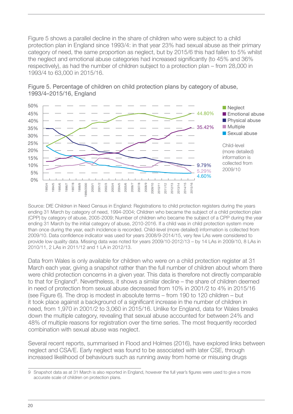Figure 5 shows a parallel decline in the share of children who were subject to a child protection plan in England since 1993/4: in that year 23% had sexual abuse as their primary category of need, the same proportion as neglect, but by 2015/6 this had fallen to 5% whilst the neglect and emotional abuse categories had increased significantly (to 45% and 36% respectively), as had the number of children subject to a protection plan – from 28,000 in 1993/4 to 63,000 in 2015/16.





Source: DfE Children in Need Census in England: Registrations to child protection registers during the years ending 31 March by category of need, 1994-2004; Children who became the subject of a child protection plan (CPP) by category of abuse, 2005-2009; Number of children who became the subject of a CPP during the year ending 31 March by the initial category of abuse, 2010-2016. If a child was in child protection system more than once during the year, each incidence is recorded. Child-level (more detailed) information is collected from 2009/10. Data confidence indicator was used for years 2008/9-2014/15, very few LAs were considered to provide low quality data. Missing data was noted for years 2009/10-2012/13 – by 14 LAs in 2009/10, 8 LAs in 2010/11, 2 LAs in 2011/12 and 1 LA in 2012/13.

Data from Wales is only available for children who were on a child protection register at 31 March each year, giving a snapshot rather than the full number of children about whom there were child protection concerns in a given year. This data is therefore not directly comparable to that for England<sup>9</sup>. Nevertheless, it shows a similar decline – the share of children deemed in need of protection from sexual abuse decreased from 10% in 2001/2 to 4% in 2015/16 (see Figure 6). The drop is modest in absolute terms – from 190 to 120 children – but it took place against a background of a significant increase in the number of children in need, from 1,970 in 2001/2 to 3,060 in 2015/16. Unlike for England, data for Wales breaks down the multiple category, revealing that sexual abuse accounted for between 24% and 48% of multiple reasons for registration over the time series. The most frequently recorded combination with sexual abuse was neglect.

Several recent reports, summarised in Flood and Holmes (2016), have explored links between neglect and CSA/E. Early neglect was found to be associated with later CSE, through increased likelihood of behaviours such as running away from home or misusing drugs

<sup>9</sup> Snapshot data as at 31 March is also reported in England, however the full year's figures were used to give a more accurate scale of children on protection plans.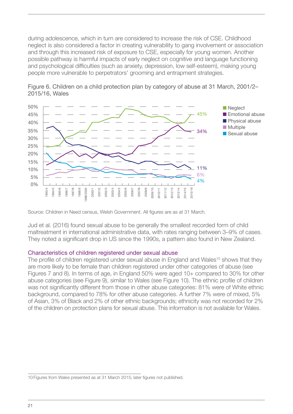<span id="page-20-0"></span>during adolescence, which in turn are considered to increase the risk of CSE. Childhood neglect is also considered a factor in creating vulnerability to gang involvement or association and through this increased risk of exposure to CSE, especially for young women. Another possible pathway is harmful impacts of early neglect on cognitive and language functioning and psychological difficulties (such as anxiety, depression, low self-esteem), making young people more vulnerable to perpetrators' grooming and entrapment strategies.



Figure 6. Children on a child protection plan by category of abuse at 31 March, 2001/2– 2015/16, Wales

Source: Children in Need census, Welsh Government. All figures are as at 31 March.

Jud et al. (2016) found sexual abuse to be generally the smallest recorded form of child maltreatment in international administrative data, with rates ranging between 3–9% of cases. They noted a significant drop in US since the 1990s, a pattern also found in New Zealand.

#### Characteristics of children registered under sexual abuse

The profile of children registered under sexual abuse in England and Wales<sup>10</sup> shows that they are more likely to be female than children registered under other categories of abuse (see Figures 7 and 8). In terms of age, in England 50% were aged 10+ compared to 30% for other abuse categories (see Figure 9), similar to Wales (see Figure 10). The ethnic profile of children was not significantly different from those in other abuse categories: 81% were of White ethnic background, compared to 78% for other abuse categories. A further 7% were of mixed, 5% of Asian, 3% of Black and 2% of other ethnic backgrounds; ethnicity was not recorded for 2% of the children on protection plans for sexual abuse. This information is not available for Wales.

<sup>10</sup> Figures from Wales presented as at 31 March 2015; later figures not published.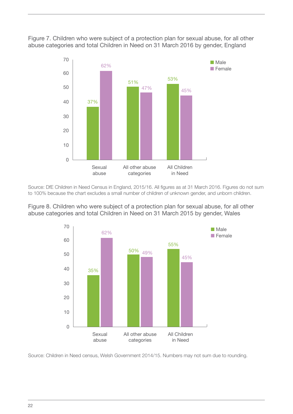Figure 7. Children who were subject of a protection plan for sexual abuse, for all other abuse categories and total Children in Need on 31 March 2016 by gender, England



Source: DfE Children in Need Census in England, 2015/16. All figures as at 31 March 2016. Figures do not sum to 100% because the chart excludes a small number of children of unknown gender, and unborn children.

Figure 8. Children who were subject of a protection plan for sexual abuse, for all other abuse categories and total Children in Need on 31 March 2015 by gender, Wales



Source: Children in Need census, Welsh Government 2014/15. Numbers may not sum due to rounding.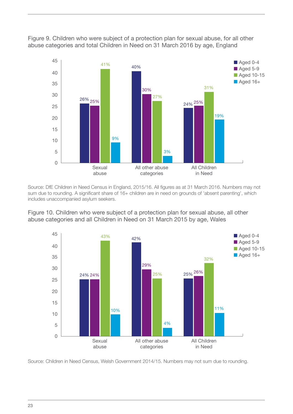



Source: DfE Children in Need Census in England, 2015/16. All figures as at 31 March 2016. Numbers may not sum due to rounding. A significant share of 16+ children are in need on grounds of 'absent parenting', which includes unaccompanied asylum seekers.

Figure 10. Children who were subject of a protection plan for sexual abuse, all other abuse categories and all Children in Need on 31 March 2015 by age, Wales



Source: Children in Need Census, Welsh Government 2014/15. Numbers may not sum due to rounding.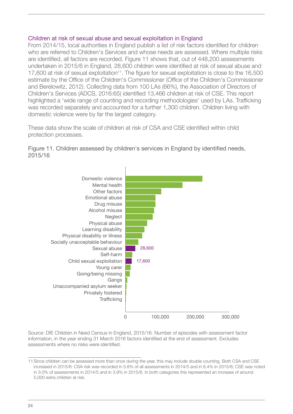#### <span id="page-23-0"></span>Children at risk of sexual abuse and sexual exploitation in England

From 2014/15, local authorities in England publish a list of risk factors identified for children who are referred to Children's Services and whose needs are assessed. Where multiple risks are identified, all factors are recorded. Figure 11 shows that, out of 448,200 assessments undertaken in 2015/6 in England, 28,600 children were identified at risk of sexual abuse and 17,600 at risk of sexual exploitation<sup>11</sup>. The figure for sexual exploitation is close to the 16,500 estimate by the Office of the Children's Commissioner (Office of the Children's Commissioner and Berelowitz, 2012). Collecting data from 100 LAs (66%), the Association of Directors of Children's Services (ADCS, 2016:65) identified 13,466 children at risk of CSE. This report highlighted a 'wide range of counting and recording methodologies' used by LAs. Trafficking was recorded separately and accounted for a further 1,300 children. Children living with domestic violence were by far the largest category.

These data show the scale of children at risk of CSA and CSE identified within child protection processes.

Figure 11. Children assessed by children's services in England by identified needs, 2015/16



Source: DfE Children in Need Census in England, 2015/16. Number of episodes with assessment factor information, in the year ending 31 March 2016 factors identified at the end of assessment. Excludes assessments where no risks were identified.

<sup>11</sup>Since children can be assessed more than once during the year, this may include double counting. Both CSA and CSE increased in 2015/6: CSA risk was recorded in 5.8% of all assessments in 2014/5 and in 6.4% in 2015/6; CSE was noted in 3.0% of assessments in 2014/5 and in 3.9% in 2015/6. In both categories this represented an increase of around 5,000 extra children at risk.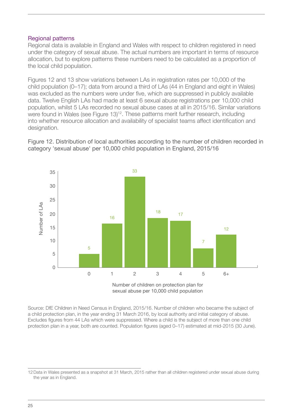#### <span id="page-24-0"></span>Regional patterns

Regional data is available in England and Wales with respect to children registered in need under the category of sexual abuse. The actual numbers are important in terms of resource allocation, but to explore patterns these numbers need to be calculated as a proportion of the local child population.

Figures 12 and 13 show variations between LAs in registration rates per 10,000 of the child population (0–17); data from around a third of LAs (44 in England and eight in Wales) was excluded as the numbers were under five, which are suppressed in publicly available data. Twelve English LAs had made at least 6 sexual abuse registrations per 10,000 child population, whilst 5 LAs recorded no sexual abuse cases at all in 2015/16. Similar variations were found in Wales (see Figure 13)<sup>12</sup>. These patterns merit further research, including into whether resource allocation and availability of specialist teams affect identification and designation.

Figure 12. Distribution of local authorities according to the number of children recorded in category 'sexual abuse' per 10,000 child population in England, 2015/16



sexual abuse per 10,000 child population

Source: DfE Children in Need Census in England, 2015/16. Number of children who became the subject of a child protection plan, in the year ending 31 March 2016, by local authority and initial category of abuse. Excludes figures from 44 LAs which were suppressed. Where a child is the subject of more than one child protection plan in a year, both are counted. Population figures (aged 0–17) estimated at mid-2015 (30 June).

<sup>12</sup>Data in Wales presented as a snapshot at 31 March, 2015 rather than all children registered under sexual abuse during the year as in England.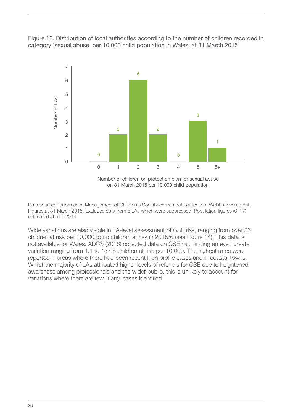Figure 13. Distribution of local authorities according to the number of children recorded in category 'sexual abuse' per 10,000 child population in Wales, at 31 March 2015



Data source: Performance Management of Children's Social Services data collection, Welsh Government. Figures at 31 March 2015. Excludes data from 8 LAs which were suppressed. Population figures (0–17) estimated at mid-2014.

Wide variations are also visible in LA-level assessment of CSE risk, ranging from over 36 children at risk per 10,000 to no children at risk in 2015/6 (see Figure 14). This data is not available for Wales. ADCS (2016) collected data on CSE risk, finding an even greater variation ranging from 1.1 to 137.5 children at risk per 10,000. The highest rates were reported in areas where there had been recent high profile cases and in coastal towns. Whilst the majority of LAs attributed higher levels of referrals for CSE due to heightened awareness among professionals and the wider public, this is unlikely to account for variations where there are few, if any, cases identified.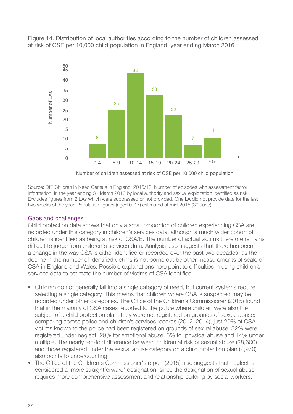<span id="page-26-0"></span>Figure 14. Distribution of local authorities according to the number of children assessed at risk of CSE per 10,000 child population in England, year ending March 2016



Number of children assessed at risk of CSE per 10,000 child population

Source: DfE Children in Need Census in England, 2015/16. Number of episodes with assessment factor information, in the year ending 31 March 2016 by local authority and sexual exploitation identified as risk. Excludes figures from 2 LAs which were suppressed or not provided. One LA did not provide data for the last two weeks of the year. Population figures (aged 0–17) estimated at mid-2015 (30 June).

## Gaps and challenges

Child protection data shows that only a small proportion of children experiencing CSA are recorded under this category in children's services data, although a much wider cohort of children is identified as being at risk of CSA/E. The number of actual victims therefore remains difficult to judge from children's services data. Analysis also suggests that there has been a change in the way CSA is either identified or recorded over the past two decades, as the decline in the number of identified victims is not borne out by other measurements of scale of CSA in England and Wales. Possible explanations here point to difficulties in using children's services data to estimate the number of victims of CSA identified.

- Children do not generally fall into a single category of need, but current systems require selecting a single category. This means that children where CSA is suspected may be recorded under other categories. The Office of the Children's Commissioner (2015) found that in the majority of CSA cases reported to the police where children were also the subject of a child protection plan, they were not registered on grounds of sexual abuse: comparing across police and children's services records (2012–2014), just 20% of CSA victims known to the police had been registered on grounds of sexual abuse, 32% were registered under neglect, 29% for emotional abuse, 5% for physical abuse and 14% under multiple. The nearly ten-fold difference between children at risk of sexual abuse (28,600) and those registered under the sexual abuse category on a child protection plan (2,970) also points to undercounting.
- The Office of the Children's Commissioner's report (2015) also suggests that neglect is considered a 'more straightforward' designation, since the designation of sexual abuse requires more comprehensive assessment and relationship building by social workers.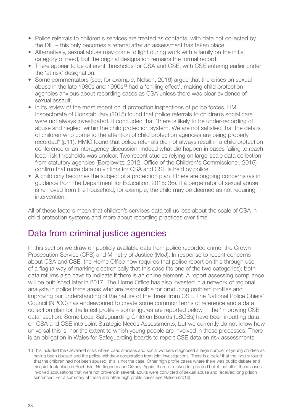- <span id="page-27-0"></span>• Police referrals to children's services are treated as contacts, with data not collected by the DfE – this only becomes a referral after an assessment has taken place.
- Alternatively, sexual abuse may come to light during work with a family on the initial category of need, but the original designation remains the formal record.
- There appear to be different thresholds for CSA and CSE, with CSE entering earlier under the 'at risk' designation.
- Some commentators (see, for example, Nelson, 2016) argue that the crises on sexual abuse in the late 1980s and 1990s<sup>13</sup> had a 'chilling effect', making child protection agencies anxious about recording cases as CSA unless there was clear evidence of sexual assault.
- In its review of the most recent child protection inspections of police forces, HM Inspectorate of Constabulary (2015) found that police referrals to children's social care were not always investigated. It concluded that "there is likely to be under-recording of abuse and neglect within the child protection system. We are not satisfied that the details of children who come to the attention of child protection agencies are being properly recorded" (p11). HMIC found that police referrals did not always result in a child protection conference or an interagency discussion, indeed what did happen in cases failing to reach local risk thresholds was unclear. Two recent studies relying on large-scale data collection from statutory agencies (Berelowitz, 2012, Office of the Children's Commissioner, 2015) confirm that more data on victims for CSA and CSE is held by police.
- A child only becomes the subject of a protection plan if there are ongoing concerns (as in guidance from the Department for Education, 2015: 36). If a perpetrator of sexual abuse is removed from the household, for example, the child may be deemed as not requiring intervention.

All of these factors mean that children's services data tell us less about the scale of CSA in child protection systems and more about recording practices over time.

## Data from criminal justice agencies

In this section we draw on publicly available data from police recorded crime, the Crown Prosecution Service (CPS) and Ministry of Justice (MoJ). In response to recent concerns about CSA and CSE, the Home Office now requires that police report on this through use of a flag (a way of marking electronically that this case fits one of the two categories); both data returns also have to indicate if there is an online element. A report assessing compliance will be published later in 2017. The Home Office has also invested in a network of regional analysts in police force areas who are responsible for producing problem profiles and improving our understanding of the nature of the threat from CSE. The National Police Chiefs' Council (NPCC) has endeavoured to create some common terms of reference and a data collection plan for the latest profile – some figures are reported below in the 'improving CSE data' section. Some Local Safeguarding Children Boards (LSCBs) have been inputting data on CSA and CSE into Joint Strategic Needs Assessments, but we currently do not know how universal this is, nor the extent to which young people are involved in these processes. There is an obligation in Wales for Safeguarding boards to report CSE data on risk assessments

<sup>13</sup> This included the Cleveland crisis where paediatricians and social workers diagnosed a large number of young children as having been abused and the police withdrew cooperation from joint investigations. There is a belief that the inquiry found that the children had not been abused; this is not the case. Other high profile cases where there was public debate and disquiet took place in Rochdale, Nottingham and Orkney. Again, there is a taken for granted belief that all of these cases involved accusations that were not proven: in several, adults were convicted of sexual abuse and received long prison sentences. For a summary of these and other high profile cases see Nelson (2016).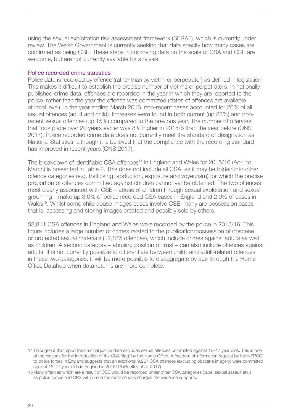<span id="page-28-0"></span>using the sexual exploitation risk assessment framework (SERAF), which is currently under review. The Welsh Government is currently seeking that data specify how many cases are confirmed as being CSE. These steps in improving data on the scale of CSA and CSE are welcome, but are not currently available for analysis.

#### Police recorded crime statistics

Police data is recorded by offence (rather than by victim or perpetrator) as defined in legislation. This makes it difficult to establish the precise number of victims or perpetrators. In nationally published crime data, offences are recorded in the year in which they are reported to the police, rather than the year the offence was committed (dates of offences are available at local level). In the year ending March 2016, non-recent cases accounted for 20% of all sexual offences (adult and child). Increases were found in both current (up 22%) and nonrecent sexual offences (up 15%) compared to the previous year. The number of offences that took place over 20 years earlier was 8% higher in 2015/6 than the year before (ONS 2017). Police recorded crime data does not currently meet the standard of designation as National Statistics, although it is believed that the compliance with the recording standard has improved in recent years (ONS 2017).

The breakdown of identifiable CSA offences<sup>14</sup> in England and Wales for 2015/16 (April to March) is presented in Table 2. This does not include all CSA, as it may be folded into other offence categories (e.g. trafficking, abduction, exposure and voyeurism) for which the precise proportion of offences committed against children cannot yet be obtained. The two offences most clearly associated with CSE – abuse of children through sexual exploitation and sexual grooming – make up 3.0% of police recorded CSA cases in England and 2.0% of cases in Wales<sup>15</sup>. Whilst some child abuse images cases involve CSE, many are possession cases that is, accessing and storing images created and possibly sold by others.

53,811 CSA offences in England and Wales were recorded by the police in 2015/16. This figure includes a large number of crimes related to the publication/possession of obscene or protected sexual materials (12,875 offences), which include crimes against adults as well as children. A second category – abusing position of trust – can also include offences against adults. It is not currently possible to differentiate between child- and adult-related offences in these two categories. It will be more possible to disaggregate by age through the Home Office Datahub when data returns are more complete.

<sup>14</sup> Throughout this report the criminal justice data excludes sexual offences committed against 16–17 year olds. This is one of the reasons for the introduction of the CSA 'flag' by the Home Office. A freedom of information request by the NSPCC to police forces in England suggests that an additional 9,267 CSA offences (excluding obscene imagery) were committed against 16–17 year olds in England in 2015/16 (Bentley et al. 2017).

<sup>15</sup> Many offences which are a result of CSE would be recorded under other CSA categories (rape, sexual assault etc.) as police forces and CPS will pursue the most serious charges the evidence supports.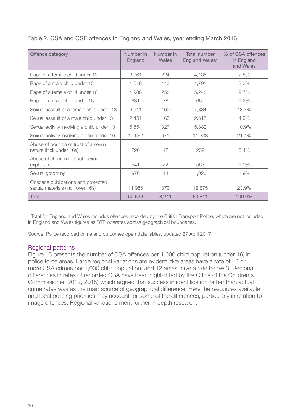| Offence category                                                        | Number in<br>England | Number in<br>Wales | <b>Total number</b><br>Eng and Wales* | % of CSA offences<br>in England<br>and Wales |
|-------------------------------------------------------------------------|----------------------|--------------------|---------------------------------------|----------------------------------------------|
| Rape of a female child under 13                                         | 3,961                | 224                | 4,185                                 | 7.8%                                         |
| Rape of a male child under 13                                           | 1,648                | 143                | 1,791                                 | 3.3%                                         |
| Rape of a female child under 16                                         | 4,988                | 258                | 5,248                                 | 9.7%                                         |
| Rape of a male child under 16                                           | 631                  | 38                 | 669                                   | 1.2%                                         |
| Sexual assault of a female child under 13                               | 6,911                | 460                | 7,384                                 | 13.7%                                        |
| Sexual assault of a male child under 13                                 | 2,451                | 163                | 2,617                                 | 4.9%                                         |
| Sexual activity involving a child under 13                              | 5,554                | 327                | 5,882                                 | 10.9%                                        |
| Sexual activity involving a child under 16                              | 10,662               | 671                | 11,338                                | 21.1%                                        |
| Abuse of position of trust of a sexual<br>nature (incl. under 16s)      | 226                  | 12                 | 239                                   | 0.4%                                         |
| Abuse of children through sexual<br>exploitation                        | 541                  | 22                 | 563                                   | 1.0%                                         |
| Sexual grooming                                                         | 970                  | 44                 | 1,020                                 | 1.9%                                         |
| Obscene publications and protected<br>sexual materials (incl. over 16s) | 11,986               | 879                | 12,875                                | 23.9%                                        |
| <b>Total</b>                                                            | 50,529               | 3,241              | 53,811                                | 100.0%                                       |

<span id="page-29-0"></span>Table 2. CSA and CSE offences in England and Wales, year ending March 2016

\* Total for England and Wales includes offences recorded by the British Transport Police, which are not included in England and Wales figures as BTP operates across geographical boundaries.

Source: Police recorded crime and outcomes open data tables, updated 27 April 2017

#### Regional patterns

Figure 15 presents the number of CSA offences per 1,000 child population (under 16) in police force areas. Large regional variations are evident: five areas have a rate of 12 or more CSA crimes per 1,000 child population, and 12 areas have a rate below 3. Regional differences in rates of recorded CSA have been highlighted by the Office of the Children's Commissioner (2012, 2015) which argued that success in identification rather than actual crime rates was as the main source of geographical difference. Here the resources available and local policing priorities may account for some of the differences, particularly in relation to image offences. Regional variations merit further in depth research.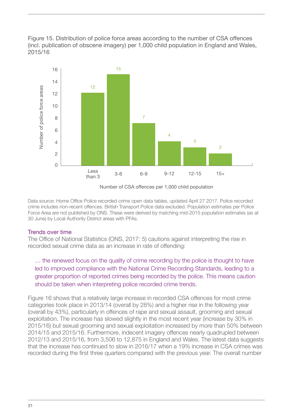<span id="page-30-0"></span>Figure 15. Distribution of police force areas according to the number of CSA offences (incl. publication of obscene imagery) per 1,000 child population in England and Wales, 2015/16



Number of CSA offences per 1,000 child population

Data source: Home Office Police recorded crime open data tables, updated April 27 2017. Police recorded crime includes non-recent offences. British Transport Police data excluded. Population estimates per Police Force Area are not published by ONS. These were derived by matching mid-2015 population estimates (as at 30 June) by Local Authority District areas with PFAs.

## Trends over time

The Office of National Statistics (ONS, 2017: 5) cautions against interpreting the rise in recorded sexual crime data as an increase in rate of offending:

… the renewed focus on the quality of crime recording by the police is thought to have led to improved compliance with the National Crime Recording Standards, leading to a greater proportion of reported crimes being recorded by the police. This means caution should be taken when interpreting police recorded crime trends.

Figure 16 shows that a relatively large increase in recorded CSA offences for most crime categories took place in 2013/14 (overall by 28%) and a higher rise in the following year (overall by 43%), particularly in offences of rape and sexual assault, grooming and sexual exploitation. The increase has slowed slightly in the most recent year (increase by 30% in 2015/16) but sexual grooming and sexual exploitation increased by more than 50% between 2014/15 and 2015/16. Furthermore, indecent imagery offences nearly quadrupled between 2012/13 and 2015/16, from 3,506 to 12,875 in England and Wales. The latest data suggests that the increase has continued to slow in 2016/17 when a 19% increase in CSA crimes was recorded during the first three quarters compared with the previous year. The overall number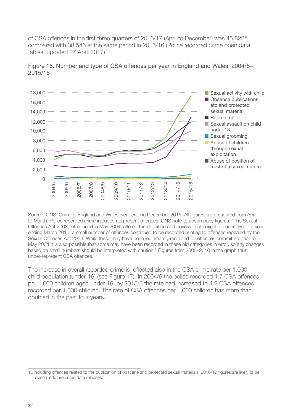of CSA offences in the first three quarters of 2016/17 (April to December) was 45,822<sup>16</sup> compared with 38,546 at the same period in 2015/16 (Police recorded crime open data tables, updated 27 April 2017).



Figure 16. Number and type of CSA offences per year in England and Wales, 2004/5– 2015/16

Source: ONS, Crime in England and Wales, year ending December 2016. All figures are presented from April to March. Police recorded crime includes non-recent offences. ONS note to accompany figures: "The Sexual Offences Act 2003, introduced in May 2004, altered the definition and coverage of sexual offences. Prior to year ending March 2010, a small number of offences continued to be recorded relating to offences repealed by the Sexual Offences Act 2003. While these may have been legitimately recorded for offences committed prior to May 2004 it is also possible that some may have been recorded in these old categories in error, so any changes based on small numbers should be interpreted with caution." Figures from 2005–2010 in the graph thus under-represent CSA offences.

The increase in overall recorded crime is reflected also in the CSA crime rate per 1,000 child population (under 16) (see Figure 17). In 2004/5 the police recorded 1.7 CSA offences per 1,000 children aged under 16; by 2015/6 the rate had increased to 4.9 CSA offences recorded per 1,000 children. The rate of CSA offences per 1,000 children has more than doubled in the past four years.

<sup>16</sup> Including offences related to the publication of obscene and protected sexual materials. 2016/17 figures are likely to be revised in future crime data releases.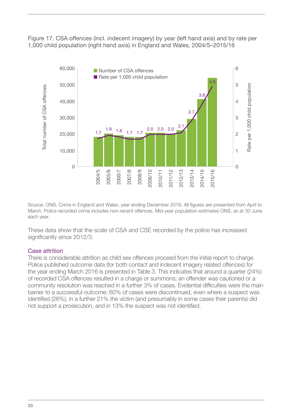<span id="page-32-0"></span>Figure 17. CSA offences (incl. indecent imagery) by year (left hand axis) and by rate per 1,000 child population (right hand axis) in England and Wales, 2004/5–2015/16



Source: ONS, Crime in England and Wales, year ending December 2016. All figures are presented from April to March. Police recorded crime includes non-recent offences. Mid-year population estimates ONS, as at 30 June each year.

These data show that the scale of CSA and CSE recorded by the police has increased significantly since 2012/3.

#### Case attrition

There is considerable attrition as child sex offences proceed from the initial report to charge. Police published outcome data (for both contact and indecent imagery related offences) for the year ending March 2016 is presented in Table 3. This indicates that around a quarter (24%) of recorded CSA offences resulted in a charge or summons; an offender was cautioned or a community resolution was reached in a further 3% of cases. Evidential difficulties were the main barrier to a successful outcome: 60% of cases were discontinued, even where a suspect was identified (26%), in a further 21% the victim (and presumably in some cases their parents) did not support a prosecution, and in 13% the suspect was not identified.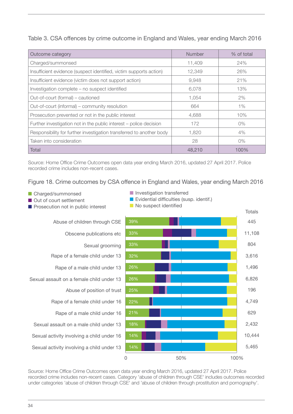Table 3. CSA offences by crime outcome in England and Wales, year ending March 2016

| Outcome category                                                     | Number | % of total |
|----------------------------------------------------------------------|--------|------------|
| Charged/summonsed                                                    | 11,409 | 24%        |
| Insufficient evidence (suspect identified, victim supports action)   | 12,349 | 26%        |
| Insufficient evidence (victim does not support action)               | 9,948  | 21%        |
| Investigation complete - no suspect identified                       | 6,078  | 13%        |
| Out-of-court (formal) – cautioned                                    | 1,054  | 2%         |
| Out-of-court (informal) – community resolution                       | 664    | $1\%$      |
| Prosecution prevented or not in the public interest                  | 4,688  | 10%        |
| Further investigation not in the public interest – police decision   | 172    | $0\%$      |
| Responsibility for further investigation transferred to another body | 1.820  | 4%         |
| Taken into consideration                                             | 28     | $0\%$      |
| Total                                                                | 48,210 | 100%       |

Source: Home Office Crime Outcomes open data year ending March 2016, updated 27 April 2017. Police recorded crime includes non-recent cases.

Figure 18. Crime outcomes by CSA offence in England and Wales, year ending March 2016

- Charged/summonsed
- Out of court settlement
- $\blacksquare$  Prosecution not in public interest

Abuse of children through CSE

Obscene publications etc

Sexual grooming

- Rape of a female child under 13
	- Rape of a male child under 13
- Sexual assault on a female child under 13
	- Abuse of position of trust
	- Rape of a female child under 16
		- Rape of a male child under 16
	- Sexual assault on a male child under 13
- Sexual activity involving a child under 16
- Sexual activity involving a child under 13



0 50% 100%

Source: Home Office Crime Outcomes open data year ending March 2016, updated 27 April 2017. Police recorded crime includes non-recent cases. Category 'abuse of children through CSE' includes outcomes recorded under categories 'abuse of children through CSE' and 'abuse of children through prostitution and pornography'.

34

- **n** Investigation transferred
- $\blacksquare$  Evidential difficulties (susp. identif.)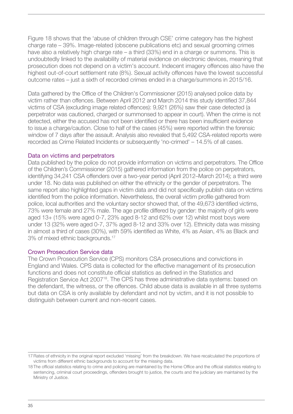<span id="page-34-0"></span>Figure 18 shows that the 'abuse of children through CSE' crime category has the highest charge rate – 39%. Image-related (obscene publications etc) and sexual grooming crimes have also a relatively high charge rate – a third (33%) end in a charge or summons. This is undoubtedly linked to the availability of material evidence on electronic devices, meaning that prosecution does not depend on a victim's account. Indecent imagery offences also have the highest out-of-court settlement rate (8%). Sexual activity offences have the lowest successful outcome rates – just a sixth of recorded crimes ended in a charge/summons in 2015/16.

Data gathered by the Office of the Children's Commissioner (2015) analysed police data by victim rather than offences. Between April 2012 and March 2014 this study identified 37,844 victims of CSA (excluding image related offences): 9,921 (26%) saw their case detected (a perpetrator was cautioned, charged or summonsed to appear in court). When the crime is not detected, either the accused has not been identified or there has been insufficient evidence to issue a charge/caution. Close to half of the cases (45%) were reported within the forensic window of 7 days after the assault. Analysis also revealed that 5,492 CSA-related reports were recorded as Crime Related Incidents or subsequently 'no-crimed' – 14.5% of all cases.

#### Data on victims and perpetrators

Data published by the police do not provide information on victims and perpetrators. The Office of the Children's Commissioner (2015) gathered information from the police on perpetrators, identifying 34,241 CSA offenders over a two-year period (April 2012–March 2014); a third were under 18. No data was published on either the ethnicity or the gender of perpetrators. The same report also highlighted gaps in victim data and did not specifically publish data on victims identified from the police information. Nevertheless, the overall victim profile gathered from police, local authorities and the voluntary sector showed that, of the 49,673 identified victims, 73% were female and 27% male. The age profile differed by gender: the majority of girls were aged 13+ (15% were aged 0-7, 23% aged 8-12 and 62% over 12) whilst most boys were under 13 (32% were aged 0-7, 37% aged 8-12 and 33% over 12). Ethnicity data was missing in almost a third of cases (30%), with 59% identified as White, 4% as Asian, 4% as Black and 3% of mixed ethnic backgrounds.17

#### Crown Prosecution Service data

The Crown Prosecution Service (CPS) monitors CSA prosecutions and convictions in England and Wales. CPS data is collected for the effective management of its prosecution functions and does not constitute official statistics as defined in the Statistics and Registration Service Act 2007<sup>18</sup>. The CPS has three administrative data systems: based on the defendant, the witness, or the offences. Child abuse data is available in all three systems but data on CSA is only available by defendant and not by victim, and it is not possible to distinguish between current and non-recent cases.

<sup>17</sup>Rates of ethnicity in the original report excluded 'missing' from the breakdown. We have recalculated the proportions of victims from different ethnic backgrounds to account for the missing data.

<sup>18</sup> The official statistics relating to crime and policing are maintained by the Home Office and the official statistics relating to sentencing, criminal court proceedings, offenders brought to justice, the courts and the judiciary are maintained by the Ministry of Justice.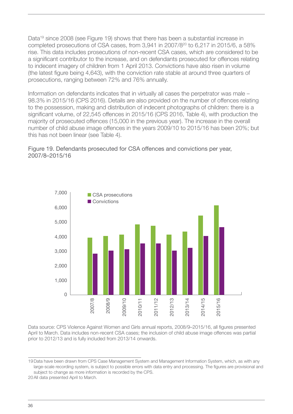Data<sup>19</sup> since 2008 (see Figure 19) shows that there has been a substantial increase in completed prosecutions of CSA cases, from 3,941 in 2007/820 to 6,217 in 2015/6, a 58% rise. This data includes prosecutions of non-recent CSA cases, which are considered to be a significant contributor to the increase, and on defendants prosecuted for offences relating to indecent imagery of children from 1 April 2013. Convictions have also risen in volume (the latest figure being 4,643), with the conviction rate stable at around three quarters of prosecutions, ranging between 72% and 76% annually.

Information on defendants indicates that in virtually all cases the perpetrator was male – 98.3% in 2015/16 (CPS 2016). Details are also provided on the number of offences relating to the possession, making and distribution of indecent photographs of children: there is a significant volume, of 22,545 offences in 2015/16 (CPS 2016, Table 4), with production the majority of prosecuted offences (15,000 in the previous year). The increase in the overall number of child abuse image offences in the years 2009/10 to 2015/16 has been 20%; but this has not been linear (see Table 4).

Figure 19. Defendants prosecuted for CSA offences and convictions per year, 2007/8–2015/16



Data source: CPS Violence Against Women and Girls annual reports, 2008/9–2015/16, all figures presented April to March. Data includes non-recent CSA cases; the inclusion of child abuse image offences was partial prior to 2012/13 and is fully included from 2013/14 onwards.

<sup>19</sup>Data have been drawn from CPS Case Management System and Management Information System, which, as with any large-scale recording system, is subject to possible errors with data entry and processing. The figures are provisional and subject to change as more information is recorded by the CPS.

<sup>20</sup>All data presented April to March.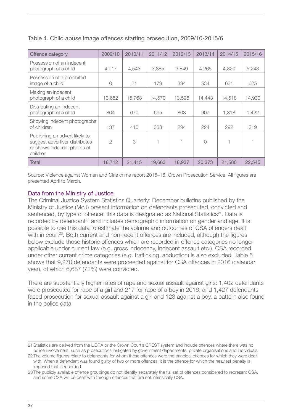| Offence category                                                                                            | 2009/10        | 2010/11 | 2011/12 | 2012/13 | 2013/14    | 2014/15 | 2015/16 |
|-------------------------------------------------------------------------------------------------------------|----------------|---------|---------|---------|------------|---------|---------|
| Possession of an indecent<br>photograph of a child                                                          | 4,117          | 4,543   | 3,885   | 3,849   | 4,265      | 4,820   | 5,248   |
| Possession of a prohibited<br>image of a child                                                              | $\bigcirc$     | 21      | 179     | 394     | 534        | 631     | 625     |
| Making an indecent<br>photograph of a child                                                                 | 13,652         | 15,768  | 14,570  | 13,596  | 14,443     | 14,518  | 14,930  |
| Distributing an indecent<br>photograph of a child                                                           | 804            | 670     | 695     | 803     | 907        | 1,318   | 1,422   |
| Showing indecent photographs<br>of children                                                                 | 137            | 410     | 333     | 294     | 224        | 292     | 319     |
| Publishing an advert likely to<br>suggest advertiser distributes<br>or shows indecent photos of<br>children | $\overline{2}$ | 3       |         | 1       | $\bigcirc$ |         |         |
| Total                                                                                                       | 18,712         | 21,415  | 19,663  | 18,937  | 20,373     | 21,580  | 22,545  |

### <span id="page-36-0"></span>Table 4. Child abuse image offences starting prosecution, 2009/10-2015/6

Source: Violence against Women and Girls crime report 2015–16. Crown Prosecution Service. All figures are presented April to March.

### Data from the Ministry of Justice

The Criminal Justice System Statistics Quarterly: December bulletins published by the Ministry of Justice (MoJ) present information on defendants prosecuted, convicted and sentenced, by type of offence: this data is designated as National Statistics<sup>21</sup>. Data is recorded by defendant<sup>22</sup> and includes demographic information on gender and age. It is possible to use this data to estimate the volume and outcomes of CSA offenders dealt with in court<sup>23</sup>. Both current and non-recent offences are included, although the figures below exclude those historic offences which are recorded in offence categories no longer applicable under current law (e.g. gross indecency, indecent assault etc.). CSA recorded under other current crime categories (e.g. trafficking, abduction) is also excluded. Table 5 shows that 9,270 defendants were proceeded against for CSA offences in 2016 (calendar year), of which 6,687 (72%) were convicted.

There are substantially higher rates of rape and sexual assault against girls: 1,402 defendants were prosecuted for rape of a girl and 217 for rape of a boy in 2016; and 1,427 defendants faced prosecution for sexual assault against a girl and 123 against a boy, a pattern also found in the police data.

<sup>21</sup>Statistics are derived from the LIBRA or the Crown Court's CREST system and include offences where there was no police involvement, such as prosecutions instigated by government departments, private organisations and individuals.

<sup>22</sup> The volume figures relate to defendants for whom these offences were the principal offences for which they were dealt with. When a defendant was found guilty of two or more offences, it is the offence for which the heaviest penalty is imposed that is recorded.

<sup>23</sup> The publicly available offence groupings do not identify separately the full set of offences considered to represent CSA, and some CSA will be dealt with through offences that are not intrinsically CSA.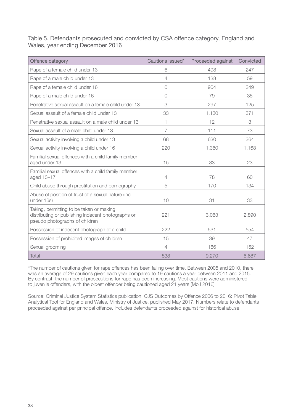Table 5. Defendants prosecuted and convicted by CSA offence category, England and Wales, year ending December 2016

| Offence category                                                                                                                  | Cautions issued* | Proceeded against | Convicted |
|-----------------------------------------------------------------------------------------------------------------------------------|------------------|-------------------|-----------|
| Rape of a female child under 13                                                                                                   | 6                | 498               | 247       |
| Rape of a male child under 13                                                                                                     | $\overline{4}$   | 138               | 59        |
| Rape of a female child under 16                                                                                                   | $\bigcirc$       | 904               | 349       |
| Rape of a male child under 16                                                                                                     | $\bigcirc$       | 79                | 35        |
| Penetrative sexual assault on a female child under 13                                                                             | 3                | 297               | 125       |
| Sexual assault of a female child under 13                                                                                         | 33               | 1,130             | 371       |
| Penetrative sexual assault on a male child under 13                                                                               | 1                | 12                | 3         |
| Sexual assault of a male child under 13                                                                                           | 7                | 111               | 73        |
| Sexual activity involving a child under 13                                                                                        | 68               | 630               | 364       |
| Sexual activity involving a child under 16                                                                                        | 220              | 1,360             | 1,168     |
| Familial sexual offences with a child family member<br>aged under 13                                                              | 15               | 33                | 23        |
| Familial sexual offences with a child family member<br>aged 13-17                                                                 | $\overline{4}$   | 78                | 60        |
| Child abuse through prostitution and pornography                                                                                  | 5                | 170               | 134       |
| Abuse of position of trust of a sexual nature (incl.<br>under 16s)                                                                | 10               | 31                | 33        |
| Taking, permitting to be taken or making,<br>distributing or publishing indecent photographs or<br>pseudo photographs of children | 221              | 3,063             | 2,890     |
| Possession of indecent photograph of a child                                                                                      | 222              | 531               | 554       |
| Possession of prohibited images of children                                                                                       | 15               | 39                | 47        |
| Sexual grooming                                                                                                                   | $\overline{4}$   | 166               | 152       |
| <b>Total</b>                                                                                                                      | 838              | 9,270             | 6,687     |

\*The number of cautions given for rape offences has been falling over time. Between 2005 and 2010, there was an average of 29 cautions given each year compared to 19 cautions a year between 2011 and 2015. By contrast, the number of prosecutions for rape has been increasing. Most cautions were administered to juvenile offenders, with the oldest offender being cautioned aged 21 years (MoJ 2016)

Source: Criminal Justice System Statistics publication: CJS Outcomes by Offence 2006 to 2016: Pivot Table Analytical Tool for England and Wales, Ministry of Justice, published May 2017. Numbers relate to defendants proceeded against per principal offence. Includes defendants proceeded against for historical abuse.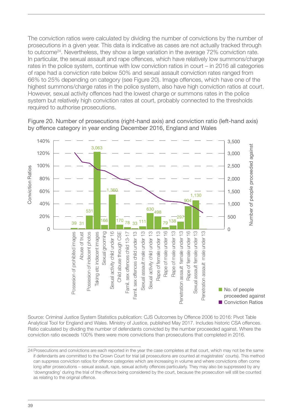The conviction ratios were calculated by dividing the number of convictions by the number of prosecutions in a given year. This data is indicative as cases are not actually tracked through to outcome<sup>24</sup>. Nevertheless, they show a large variation in the average 72% conviction rate. In particular, the sexual assault and rape offences, which have relatively low summons/charge rates in the police system, continue with low conviction ratios in court – in 2016 all categories of rape had a conviction rate below 50% and sexual assault conviction rates ranged from 66% to 25% depending on category (see Figure 20). Image offences, which have one of the highest summons/charge rates in the police system, also have high conviction ratios at court. However, sexual activity offences had the lowest charge or summons rates in the police system but relatively high conviction rates at court, probably connected to the thresholds required to authorise prosecutions.



Figure 20. Number of prosecutions (right-hand axis) and conviction ratio (left-hand axis) by offence category in year ending December 2016, England and Wales

Source: Criminal Justice System Statistics publication: CJS Outcomes by Offence 2006 to 2016: Pivot Table Analytical Tool for England and Wales. Ministry of Justice, published May 2017. Includes historic CSA offences. Ratio calculated by dividing the number of defendants convicted by the number proceeded against. Where the conviction ratio exceeds 100% there were more convictions than prosecutions that completed in 2016.

<sup>24</sup>Prosecutions and convictions are each reported in the year the case completes at that court, which may not be the same if defendants are committed to the Crown Court for trial (all prosecutions are counted at magistrates' courts). This method can suppress conviction ratios for offence categories which are increasing in volume and where convictions often come long after prosecutions – sexual assault, rape, sexual activity offences particularly. They may also be suppressed by any 'downgrading' during the trial of the offence being considered by the court, because the prosecution will still be counted as relating to the original offence.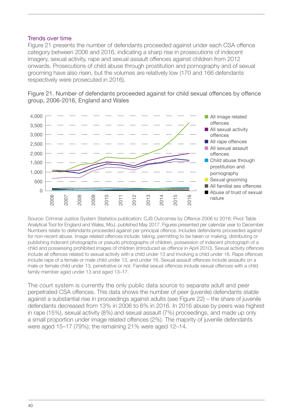#### <span id="page-39-0"></span>Trends over time

Figure 21 presents the number of defendants proceeded against under each CSA offence category between 2006 and 2016, indicating a sharp rise in prosecutions of indecent imagery, sexual activity, rape and sexual assault offences against children from 2012 onwards. Prosecutions of child abuse through prostitution and pornography and of sexual grooming have also risen, but the volumes are relatively low (170 and 166 defendants respectively were prosecuted in 2016).





Source: Criminal Justice System Statistics publication: CJS Outcomes by Offence 2006 to 2016: Pivot Table Analytical Tool for England and Wales, MoJ, published May 2017. Figures presented per calendar year to December. Numbers relate to defendants proceeded against per principal offence. Includes defendants proceeded against for non-recent abuse. Image related offences include: taking, permitting to be taken or making, distributing or publishing indecent photographs or pseudo photographs of children, possession of indecent photograph of a child and possessing prohibited images of children (introduced as offence in April 2010). Sexual activity offences include all offences related to sexual activity with a child under 13 and involving a child under 16. Rape offences include rape of a female or male child under 13, and under 16. Sexual assault offences include assaults on a male or female child under 13, penetrative or not. Familial sexual offences include sexual offences with a child family member aged under 13 and aged 13–17.

The court system is currently the only public data source to separate adult and peer perpetrated CSA offences. This data shows the number of peer (juvenile) defendants stable against a substantial rise in proceedings against adults (see Figure 22) – the share of juvenile defendants decreased from 13% in 2006 to 6% in 2016. In 2016 abuse by peers was highest in rape (15%), sexual activity (8%) and sexual assault (7%) proceedings, and made up only a small proportion under image related offences (2%). The majority of juvenile defendants were aged 15–17 (79%); the remaining 21% were aged 12–14.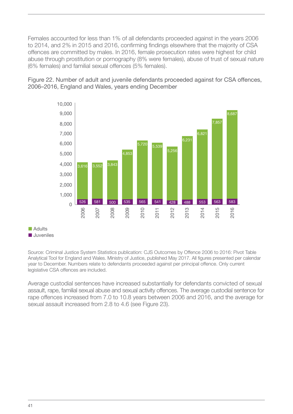Females accounted for less than 1% of all defendants proceeded against in the years 2006 to 2014, and 2% in 2015 and 2016, confirming findings elsewhere that the majority of CSA offences are committed by males. In 2016, female prosecution rates were highest for child abuse through prostitution or pornography (8% were females), abuse of trust of sexual nature (6% females) and familial sexual offences (5% females).

Figure 22. Number of adult and juvenile defendants proceeded against for CSA offences, 2006–2016, England and Wales, years ending December



 $\blacksquare$  Adults n Juveniles

Source: Criminal Justice System Statistics publication: CJS Outcomes by Offence 2006 to 2016: Pivot Table Analytical Tool for England and Wales. Ministry of Justice, published May 2017. All figures presented per calendar year to December. Numbers relate to defendants proceeded against per principal offence. Only current legislative CSA offences are included.

Average custodial sentences have increased substantially for defendants convicted of sexual assault, rape, familial sexual abuse and sexual activity offences. The average custodial sentence for rape offences increased from 7.0 to 10.8 years between 2006 and 2016, and the average for sexual assault increased from 2.8 to 4.6 (see Figure 23).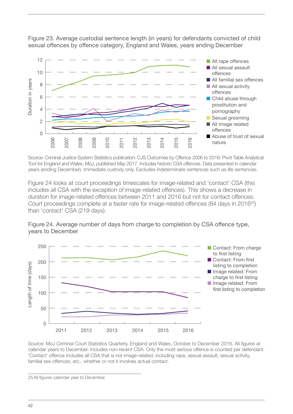

Figure 23. Average custodial sentence length (in years) for defendants convicted of child sexual offences by offence category, England and Wales, years ending December

Source: Criminal Justice System Statistics publication: CJS Outcomes by Offence 2006 to 2016: Pivot Table Analytical Tool for England and Wales. MoJ, published May 2017. Includes historic CSA offences. Data presented in calendar years (ending December). Immediate custody only. Excludes indeterminate sentences such as life sentences.

Figure 24 looks at court proceedings timescales for image-related and 'contact' CSA (this includes all CSA with the exception of image-related offences). This shows a decrease in duration for image-related offences between 2011 and 2016 but not for contact offences. Court proceedings complete at a faster rate for image-related offences (84 days in 2016<sup>25</sup>) than 'contact' CSA (219 days).





Source: MoJ Criminal Court Statistics Quarterly, England and Wales, October to December 2016. All figures at calendar years to December. Includes non-recent CSA. Only the most serious offence is counted per defendant. 'Contact' offence includes all CSA that is not image-related, including rape, sexual assault, sexual activity, familial sex offences, etc., whether or not it involves actual contact.

<sup>25</sup>All figures calendar year to December.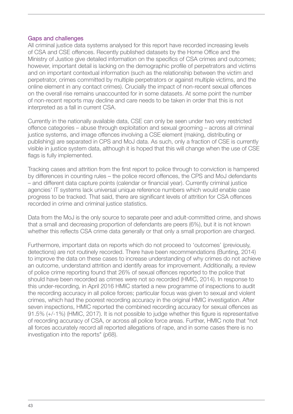#### <span id="page-42-0"></span>Gaps and challenges

All criminal justice data systems analysed for this report have recorded increasing levels of CSA and CSE offences. Recently published datasets by the Home Office and the Ministry of Justice give detailed information on the specifics of CSA crimes and outcomes; however, important detail is lacking on the demographic profile of perpetrators and victims and on important contextual information (such as the relationship between the victim and perpetrator, crimes committed by multiple perpetrators or against multiple victims, and the online element in any contact crimes). Crucially the impact of non-recent sexual offences on the overall rise remains unaccounted for in some datasets. At some point the number of non-recent reports may decline and care needs to be taken in order that this is not interpreted as a fall in current CSA.

Currently in the nationally available data, CSE can only be seen under two very restricted offence categories – abuse through exploitation and sexual grooming – across all criminal justice systems, and image offences involving a CSE element (making, distributing or publishing) are separated in CPS and MoJ data. As such, only a fraction of CSE is currently visible in justice system data, although it is hoped that this will change when the use of CSE flags is fully implemented.

Tracking cases and attrition from the first report to police through to conviction is hampered by differences in counting rules – the police record offences, the CPS and MoJ defendants – and different data capture points (calendar or financial year). Currently criminal justice agencies' IT systems lack universal unique reference numbers which would enable case progress to be tracked. That said, there are significant levels of attrition for CSA offences recorded in crime and criminal justice statistics.

Data from the MoJ is the only source to separate peer and adult-committed crime, and shows that a small and decreasing proportion of defendants are peers (6%), but it is not known whether this reflects CSA crime data generally or that only a small proportion are charged.

Furthermore, important data on reports which do not proceed to 'outcomes' (previously, detections) are not routinely recorded. There have been recommendations (Bunting, 2014) to improve the data on these cases to increase understanding of why crimes do not achieve an outcome, understand attrition and identify areas for improvement. Additionally, a review of police crime reporting found that 26% of sexual offences reported to the police that should have been recorded as crimes were not so recorded (HMIC, 2014). In response to this under-recording, in April 2016 HMIC started a new programme of inspections to audit the recording accuracy in all police forces; particular focus was given to sexual and violent crimes, which had the poorest recording accuracy in the original HMIC investigation. After seven inspections, HMIC reported the combined recording accuracy for sexual offences as 91.5% (+/-1%) (HMIC, 2017). It is not possible to judge whether this figure is representative of recording accuracy of CSA, or across all police force areas. Further, HMIC note that "not all forces accurately record all reported allegations of rape, and in some cases there is no investigation into the reports" (p68).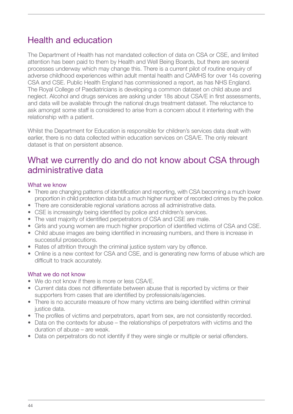## <span id="page-43-0"></span>Health and education

The Department of Health has not mandated collection of data on CSA or CSE, and limited attention has been paid to them by Health and Well Being Boards, but there are several processes underway which may change this. There is a current pilot of routine enquiry of adverse childhood experiences within adult mental health and CAMHS for over 14s covering CSA and CSE. Public Health England has commissioned a report, as has NHS England. The Royal College of Paediatricians is developing a common dataset on child abuse and neglect. Alcohol and drugs services are asking under 18s about CSA/E in first assessments, and data will be available through the national drugs treatment dataset. The reluctance to ask amongst some staff is considered to arise from a concern about it interfering with the relationship with a patient.

Whilst the Department for Education is responsible for children's services data dealt with earlier, there is no data collected within education services on CSA/E. The only relevant dataset is that on persistent absence.

## What we currently do and do not know about CSA through administrative data

### What we know

- There are changing patterns of identification and reporting, with CSA becoming a much lower proportion in child protection data but a much higher number of recorded crimes by the police.
- There are considerable regional variations across all administrative data.
- CSE is increasingly being identified by police and children's services.
- The vast majority of identified perpetrators of CSA and CSE are male.
- Girls and young women are much higher proportion of identified victims of CSA and CSE.
- Child abuse images are being identified in increasing numbers, and there is increase in successful prosecutions.
- Rates of attrition through the criminal justice system vary by offence.
- Online is a new context for CSA and CSE, and is generating new forms of abuse which are difficult to track accurately.

## What we do not know

- We do not know if there is more or less CSA/F.
- Current data does not differentiate between abuse that is reported by victims or their supporters from cases that are identified by professionals/agencies.
- There is no accurate measure of how many victims are being identified within criminal justice data.
- The profiles of victims and perpetrators, apart from sex, are not consistently recorded.
- Data on the contexts for abuse the relationships of perpetrators with victims and the duration of abuse – are weak.
- Data on perpetrators do not identify if they were single or multiple or serial offenders.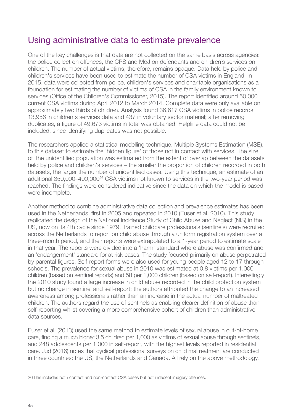## <span id="page-44-0"></span>Using administrative data to estimate prevalence

One of the key challenges is that data are not collected on the same basis across agencies: the police collect on offences, the CPS and MoJ on defendants and children's services on children. The number of actual victims, therefore, remains opaque. Data held by police and children's services have been used to estimate the number of CSA victims in England. In 2015, data were collected from police, children's services and charitable organisations as a foundation for estimating the number of victims of CSA in the family environment known to services (Office of the Children's Commissioner, 2015). The report identified around 50,000 current CSA victims during April 2012 to March 2014. Complete data were only available on approximately two thirds of children. Analysis found 36,617 CSA victims in police records, 13,956 in children's services data and 437 in voluntary sector material; after removing duplicates, a figure of 49,673 victims in total was obtained. Helpline data could not be included, since identifying duplicates was not possible.

The researchers applied a statistical modelling technique, Multiple Systems Estimation (MSE), to this dataset to estimate the 'hidden figure' of those not in contact with services. The size of the unidentified population was estimated from the extent of overlap between the datasets held by police and children's services – the smaller the proportion of children recorded in both datasets, the larger the number of unidentified cases. Using this technique, an estimate of an additional 350,000–400,00026 CSA victims not known to services in the two-year period was reached. The findings were considered indicative since the data on which the model is based were incomplete.

Another method to combine administrative data collection and prevalence estimates has been used in the Netherlands, first in 2005 and repeated in 2010 (Euser et al. 2010). This study replicated the design of the National Incidence Study of Child Abuse and Neglect (NIS) in the US, now on its 4th cycle since 1979. Trained childcare professionals (sentinels) were recruited across the Netherlands to report on child abuse through a uniform registration system over a three-month period, and their reports were extrapolated to a 1-year period to estimate scale in that year. The reports were divided into a 'harm' standard where abuse was confirmed and an 'endangerment' standard for at risk cases. The study focused primarily on abuse perpetrated by parental figures. Self-report forms were also used for young people aged 12 to 17 through schools. The prevalence for sexual abuse in 2010 was estimated at 0.8 victims per 1,000 children (based on sentinel reports) and 58 per 1,000 children (based on self-report). Interestingly the 2010 study found a large increase in child abuse recorded in the child protection system but no change in sentinel and self-report; the authors attributed the change to an increased awareness among professionals rather than an increase in the actual number of maltreated children. The authors regard the use of sentinels as enabling clearer definition of abuse than self-reporting whilst covering a more comprehensive cohort of children than administrative data sources.

Euser et al. (2013) used the same method to estimate levels of sexual abuse in out-of-home care, finding a much higher 3.5 children per 1,000 as victims of sexual abuse through sentinels, and 248 adolescents per 1,000 in self-report, with the highest levels reported in residential care. Jud (2016) notes that cyclical professional surveys on child maltreatment are conducted in three countries: the US, the Netherlands and Canada. All rely on the above methodology.

<sup>26</sup> This includes both contact and non-contact CSA cases but not indecent imagery offences.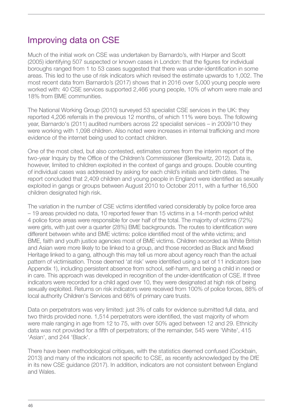## <span id="page-45-0"></span>Improving data on CSE

Much of the initial work on CSE was undertaken by Barnardo's, with Harper and Scott (2005) identifying 507 suspected or known cases in London: that the figures for individual boroughs ranged from 1 to 53 cases suggested that there was under-identification in some areas. This led to the use of risk indicators which revised the estimate upwards to 1,002. The most recent data from Barnardo's (2017) shows that in 2016 over 5,000 young people were worked with: 40 CSE services supported 2,466 young people, 10% of whom were male and 18% from BME communities.

The National Working Group (2010) surveyed 53 specialist CSE services in the UK: they reported 4,206 referrals in the previous 12 months, of which 11% were boys. The following year, Barnardo's (2011) audited numbers across 22 specialist services – in 2009/10 they were working with 1,098 children. Also noted were increases in internal trafficking and more evidence of the internet being used to contact children.

One of the most cited, but also contested, estimates comes from the interim report of the two-year Inquiry by the Office of the Children's Commissioner (Berelowitz, 2012). Data is, however, limited to children exploited in the context of gangs and groups. Double counting of individual cases was addressed by asking for each child's initials and birth dates. The report concluded that 2,409 children and young people in England were identified as sexually exploited in gangs or groups between August 2010 to October 2011, with a further 16,500 children designated high risk.

The variation in the number of CSE victims identified varied considerably by police force area – 19 areas provided no data, 10 reported fewer than 15 victims in a 14-month period whilst 4 police force areas were responsible for over half of the total. The majority of victims (72%) were girls, with just over a quarter (28%) BME backgrounds. The routes to identification were different between white and BME victims: police identified most of the white victims; and BME, faith and youth justice agencies most of BME victims. Children recorded as White British and Asian were more likely to be linked to a group, and those recorded as Black and Mixed Heritage linked to a gang, although this may tell us more about agency reach than the actual pattern of victimisation. Those deemed 'at risk' were identified using a set of 11 indicators (see Appendix 1), including persistent absence from school, self-harm, and being a child in need or in care. This approach was developed in recognition of the under-identification of CSE. If three indicators were recorded for a child aged over 10, they were designated at high risk of being sexually exploited. Returns on risk indicators were received from 100% of police forces, 88% of local authority Children's Services and 66% of primary care trusts.

Data on perpetrators was very limited: just 3% of calls for evidence submitted full data, and two thirds provided none. 1,514 perpetrators were identified, the vast majority of whom were male ranging in age from 12 to 75, with over 50% aged between 12 and 29. Ethnicity data was not provided for a fifth of perpetrators; of the remainder, 545 were 'White', 415 'Asian', and 244 'Black'.

There have been methodological critiques, with the statistics deemed confused (Cockbain, 2013) and many of the indicators not specific to CSE, as recently acknowledged by the DfE in its new CSE guidance (2017). In addition, indicators are not consistent between England and Wales.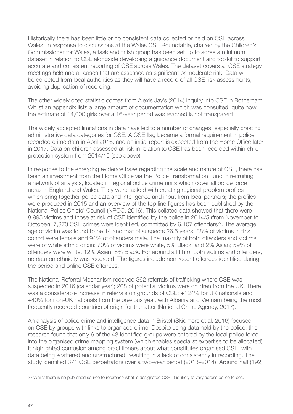Historically there has been little or no consistent data collected or held on CSE across Wales. In response to discussions at the Wales CSE Roundtable, chaired by the Children's Commissioner for Wales, a task and finish group has been set up to agree a minimum dataset in relation to CSE alongside developing a guidance document and toolkit to support accurate and consistent reporting of CSE across Wales. The dataset covers all CSE strategy meetings held and all cases that are assessed as significant or moderate risk. Data will be collected from local authorities as they will have a record of all CSE risk assessments, avoiding duplication of recording.

The other widely cited statistic comes from Alexis Jay's (2014) Inquiry into CSE in Rotherham. Whilst an appendix lists a large amount of documentation which was consulted, quite how the estimate of 14,000 girls over a 16-year period was reached is not transparent.

The widely accepted limitations in data have led to a number of changes, especially creating administrative data categories for CSE. A CSE flag became a formal requirement in police recorded crime data in April 2016, and an initial report is expected from the Home Office later in 2017. Data on children assessed at risk in relation to CSE has been recorded within child protection system from 2014/15 (see above).

In response to the emerging evidence base regarding the scale and nature of CSE, there has been an investment from the Home Office via the Police Transformation Fund in recruiting a network of analysts, located in regional police crime units which cover all police force areas in England and Wales. They were tasked with creating regional problem profiles which bring together police data and intelligence and input from local partners; the profiles were produced in 2015 and an overview of the top line figures has been published by the National Police Chiefs' Council (NPCC, 2016). This collated data showed that there were 8,995 victims and those at risk of CSE identified by the police in 2014/5 (from November to October); 7,373 CSE crimes were identified, committed by 6,107 offenders<sup>27</sup>. The average age of victim was found to be 14 and that of suspects 26.5 years: 88% of victims in this cohort were female and 94% of offenders male. The majority of both offenders and victims were of white ethnic origin: 70% of victims were white, 5% Black, and 2% Asian; 59% of offenders were white, 12% Asian, 8% Black. For around a fifth of both victims and offenders, no data on ethnicity was recorded. The figures include non-recent offences identified during the period and online CSE offences.

The National Referral Mechanism received 362 referrals of trafficking where CSE was suspected in 2016 (calendar year); 208 of potential victims were children from the UK. There was a considerable increase in referrals on grounds of CSE: +124% for UK nationals and +40% for non-UK nationals from the previous year, with Albania and Vietnam being the most frequently recorded countries of origin for the latter (National Crime Agency, 2017).

An analysis of police crime and intelligence data in Bristol (Skidmore et al. 2016) focused on CSE by groups with links to organised crime. Despite using data held by the police, this research found that only 6 of the 43 identified groups were entered by the local police force into the organised crime mapping system (which enables specialist expertise to be allocated). It highlighted confusion among practitioners about what constitutes organised CSE, with data being scattered and unstructured, resulting in a lack of consistency in recording. The study identified 371 CSE perpetrators over a two-year period (2013–2014). Around half (192)

<sup>27</sup>Whilst there is no published source to reference what is designated CSE, it is likely to vary across police forces.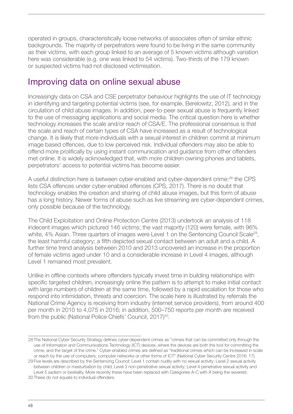<span id="page-47-0"></span>operated in groups, characteristically loose networks of associates often of similar ethnic backgrounds. The majority of perpetrators were found to be living in the same community as their victims, with each group linked to an average of 5 known victims although variation here was considerable (e.g. one was linked to 54 victims). Two-thirds of the 179 known or suspected victims had not disclosed victimisation.

## Improving data on online sexual abuse

Increasingly data on CSA and CSE perpetrator behaviour highlights the use of IT technology in identifying and targeting potential victims (see, for example, Berelowitz, 2012), and in the circulation of child abuse images. In addition, peer-to-peer sexual abuse is frequently linked to the use of messaging applications and social media. The critical question here is whether technology increases the scale and/or reach of CSA/E. The professional consensus is that the scale and reach of certain types of CSA have increased as a result of technological change. It is likely that more individuals with a sexual interest in children commit at minimum image based offences, due to low perceived risk. Individual offenders may also be able to offend more prolifically by using instant communication and guidance from other offenders met online. It is widely acknowledged that, with more children owning phones and tablets, perpetrators' access to potential victims has become easier.

A useful distinction here is between cyber-enabled and cyber-dependent crime:<sup>28</sup> the CPS lists CSA offences under cyber-enabled offences (CPS, 2017). There is no doubt that technology enables the creation and sharing of child abuse images, but this form of abuse has a long history. Newer forms of abuse such as live streaming are cyber-dependent crimes, only possible because of the technology.

The Child Exploitation and Online Protection Centre (2013) undertook an analysis of 118 indecent images which pictured 146 victims; the vast majority (120) were female, with 96% white, 4% Asian. Three quarters of images were Level 1 on the Sentencing Council Scale<sup>29</sup>, the least harmful category; a fifth depicted sexual contact between an adult and a child. A further time trend analysis between 2010 and 2013 uncovered an increase in the proportion of female victims aged under 10 and a considerable increase in Level 4 images, although Level 1 remained most prevalent.

Unlike in offline contexts where offenders typically invest time in building relationships with specific targeted children, increasingly online the pattern is to attempt to make initial contact with large numbers of children at the same time, followed by a rapid escalation for those who respond into intimidation, threats and coercion. The scale here is illustrated by referrals the National Crime Agency is receiving from industry (internet service providers), from around 400 per month in 2010 to 4,075 in 2016; in addition, 500–750 reports per month are received from the public (National Police Chiefs' Council, 2017)<sup>30</sup>.

<sup>28</sup> The National Cyber Security Strategy defines cyber-dependent crimes as "crimes that can be committed only through the use of Information and Communications Technology (ICT) devices, where the devices are both the tool for committing the crime, and the target of the crime." Cyber-enabled crimes are defined as "traditional crimes which can be increased in scale or reach by the use of computers, computer networks or other forms of ICT" (National Cyber Security Centre 2016: 17).

<sup>29</sup> Five levels are described by the Sentencing Council: Level 1 contain nudity with no sexual activity; Level 2 sexual activity between children or masturbation by child; Level 3 non-penetrative sexual activity; Level 4 penetrative sexual activity and Level 5 sadism or bestiality. More recently these have been replaced with Categories A-C with A being the severest.

<sup>30</sup> These do not equate to individual offenders.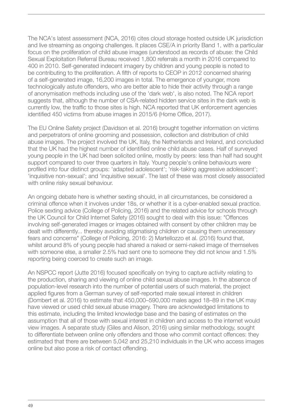The NCA's latest assessment (NCA, 2016) cites cloud storage hosted outside UK jurisdiction and live streaming as ongoing challenges. It places CSE/A in priority Band 1, with a particular focus on the proliferation of child abuse images (understood as records of abuse: the Child Sexual Exploitation Referral Bureau received 1,800 referrals a month in 2016 compared to 400 in 2010. Self-generated indecent imagery by children and young people is noted to be contributing to the proliferation. A fifth of reports to CEOP in 2012 concerned sharing of a self-generated image, 16,200 images in total. The emergence of younger, more technologically astute offenders, who are better able to hide their activity through a range of anonymisation methods including use of the 'dark web', is also noted. The NCA report suggests that, although the number of CSA-related hidden service sites in the dark web is currently low, the traffic to those sites is high. NCA reported that UK enforcement agencies identified 450 victims from abuse images in 2015/6 (Home Office, 2017).

The EU Online Safety project (Davidson et al. 2016) brought together information on victims and perpetrators of online grooming and possession, collection and distribution of child abuse images. The project involved the UK, Italy, the Netherlands and Ireland, and concluded that the UK had the highest number of identified online child abuse cases. Half of surveyed young people in the UK had been solicited online, mostly by peers: less than half had sought support compared to over three quarters in Italy. Young people's online behaviours were profiled into four distinct groups: 'adapted adolescent'; 'risk-taking aggressive adolescent'; 'inquisitive non-sexual'; and 'inquisitive sexual'. The last of these was most closely associated with online risky sexual behaviour.

An ongoing debate here is whether sexting should, in all circumstances, be considered a criminal offence when it involves under 18s, or whether it is a cyber-enabled sexual practice. Police sexting advice (College of Policing, 2016) and the related advice for schools through the UK Council for Child Internet Safety (2016) sought to deal with this issue: "Offences involving self-generated images or images obtained with consent by other children may be dealt with differently... thereby avoiding stigmatising children or causing them unnecessary fears and concerns" (College of Policing, 2016: 2) Martellozzo et al. (2016) found that, whilst around 8% of young people had shared a naked or semi-naked image of themselves with someone else, a smaller 2.5% had sent one to someone they did not know and 1.5% reporting being coerced to create such an image.

An NSPCC report (Jutte 2016) focused specifically on trying to capture activity relating to the production, sharing and viewing of online child sexual abuse images. In the absence of population-level research into the number of potential users of such material, the project applied figures from a German survey of self-reported male sexual interest in children (Dombert et al. 2016) to estimate that 450,000–590,000 males aged 18–89 in the UK may have viewed or used child sexual abuse imagery. There are acknowledged limitations to this estimate, including the limited knowledge base and the basing of estimates on the assumption that all of those with sexual interest in children and access to the internet would view images. A separate study (Giles and Alison, 2016) using similar methodology, sought to differentiate between online only offenders and those who commit contact offences: they estimated that there are between 5,042 and 25,210 individuals in the UK who access images online but also pose a risk of contact offending.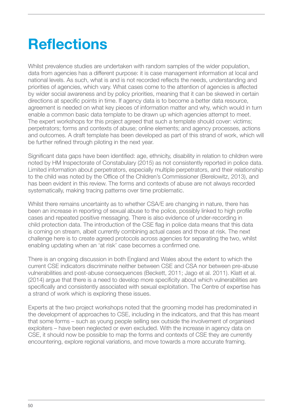# <span id="page-49-0"></span>**Reflections**

Whilst prevalence studies are undertaken with random samples of the wider population, data from agencies has a different purpose: it is case management information at local and national levels. As such, what is and is not recorded reflects the needs, understanding and priorities of agencies, which vary. What cases come to the attention of agencies is affected by wider social awareness and by policy priorities, meaning that it can be skewed in certain directions at specific points in time. If agency data is to become a better data resource, agreement is needed on what key pieces of information matter and why, which would in turn enable a common basic data template to be drawn up which agencies attempt to meet. The expert workshops for this project agreed that such a template should cover: victims; perpetrators; forms and contexts of abuse; online elements; and agency processes, actions and outcomes. A draft template has been developed as part of this strand of work, which will be further refined through piloting in the next year.

Significant data gaps have been identified: age, ethnicity, disability in relation to children were noted by HM Inspectorate of Constabulary (2015) as not consistently reported in police data. Limited information about perpetrators, especially multiple perpetrators, and their relationship to the child was noted by the Office of the Children's Commissioner (Berelowitz, 2013), and has been evident in this review. The forms and contexts of abuse are not always recorded systematically, making tracing patterns over time problematic.

Whilst there remains uncertainty as to whether CSA/E are changing in nature, there has been an increase in reporting of sexual abuse to the police, possibly linked to high profile cases and repeated positive messaging. There is also evidence of under-recording in child protection data. The introduction of the CSE flag in police data means that this data is coming on stream, albeit currently combining actual cases and those at risk. The next challenge here is to create agreed protocols across agencies for separating the two, whilst enabling updating when an 'at risk' case becomes a confirmed one.

There is an ongoing discussion in both England and Wales about the extent to which the current CSE indicators discriminate neither between CSE and CSA nor between pre-abuse vulnerabilities and post-abuse consequences (Beckett, 2011; Jago et al. 2011). Klatt et al. (2014) argue that there is a need to develop more specificity about which vulnerabilities are specifically and consistently associated with sexual exploitation. The Centre of expertise has a strand of work which is exploring these issues.

Experts at the two project workshops noted that the grooming model has predominated in the development of approaches to CSE, including in the indicators, and that this has meant that some forms – such as young people selling sex outside the involvement of organised exploiters – have been neglected or even excluded. With the increase in agency data on CSE, it should now be possible to map the forms and contexts of CSE they are currently encountering, explore regional variations, and move towards a more accurate framing.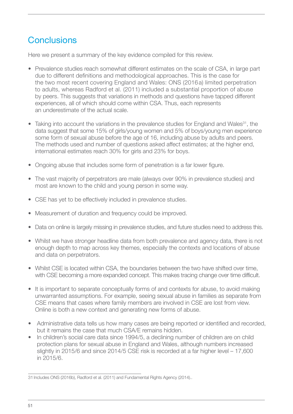## <span id="page-50-0"></span>**Conclusions**

Here we present a summary of the key evidence compiled for this review.

- Prevalence studies reach somewhat different estimates on the scale of CSA, in large part due to different definitions and methodological approaches. This is the case for the two most recent covering England and Wales: ONS (2016a) limited perpetration to adults, whereas Radford et al. (2011) included a substantial proportion of abuse by peers. This suggests that variations in methods and questions have tapped different experiences, all of which should come within CSA. Thus, each represents an underestimate of the actual scale.
- Taking into account the variations in the prevalence studies for England and Wales<sup>31</sup>, the data suggest that some 15% of girls/young women and 5% of boys/young men experience some form of sexual abuse before the age of 16, including abuse by adults and peers. The methods used and number of questions asked affect estimates; at the higher end, international estimates reach 30% for girls and 23% for boys.
- Ongoing abuse that includes some form of penetration is a far lower figure.
- The vast majority of perpetrators are male (always over 90% in prevalence studies) and most are known to the child and young person in some way.
- CSE has yet to be effectively included in prevalence studies.
- Measurement of duration and frequency could be improved.
- Data on online is largely missing in prevalence studies, and future studies need to address this.
- Whilst we have stronger headline data from both prevalence and agency data, there is not enough depth to map across key themes, especially the contexts and locations of abuse and data on perpetrators.
- Whilst CSE is located within CSA, the boundaries between the two have shifted over time, with CSE becoming a more expanded concept. This makes tracing change over time difficult.
- It is important to separate conceptually forms of and contexts for abuse, to avoid making unwarranted assumptions. For example, seeing sexual abuse in families as separate from CSE means that cases where family members are involved in CSE are lost from view. Online is both a new context and generating new forms of abuse.
- Administrative data tells us how many cases are being reported or identified and recorded, but it remains the case that much CSA/E remains hidden.
- In children's social care data since 1994/5, a declining number of children are on child protection plans for sexual abuse in England and Wales, although numbers increased slightly in 2015/6 and since 2014/5 CSE risk is recorded at a far higher level – 17,600 in 2015/6.

<sup>31</sup> Includes ONS (2016b), Radford et al. (2011) and Fundamental Rights Agency (2014)..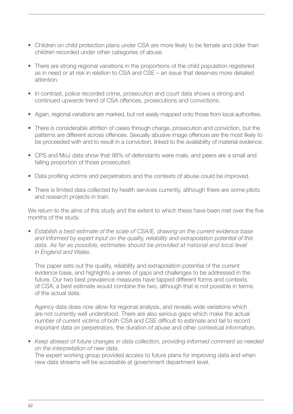- Children on child protection plans under CSA are more likely to be female and older than children recorded under other categories of abuse.
- There are strong regional variations in the proportions of the child population registered as in need or at risk in relation to CSA and CSE – an issue that deserves more detailed attention.
- In contrast, police recorded crime, prosecution and court data shows a strong and continued upwards trend of CSA offences, prosecutions and convictions.
- Again, regional variations are marked, but not easily mapped onto those from local authorities.
- There is considerable attrition of cases through charge, prosecution and conviction, but the patterns are different across offences. Sexually abusive image offences are the most likely to be proceeded with and to result in a conviction, linked to the availability of material evidence.
- CPS and MoJ data show that 98% of defendants were male, and peers are a small and falling proportion of those prosecuted.
- Data profiling victims and perpetrators and the contexts of abuse could be improved.
- There is limited data collected by health services currently, although there are some pilots and research projects in train.

We return to the aims of this study and the extent to which these have been met over the five months of the study.

*• Establish a best estimate of the scale of CSA/E, drawing on the current evidence base and informed by expert input on the quality, reliability and extrapolation potential of this*  data. As far as possible, estimates should be provided at national and local level *in England and Wales.*

This paper sets out the quality, reliability and extrapolation potential of the current evidence base, and highlights a series of gaps and challenges to be addressed in the future. Our two best prevalence measures have tapped different forms and contexts of CSA; a best estimate would combine the two, although that is not possible in terms of the actual data.

Agency data does now allow for regional analysis, and reveals wide variations which are not currently well understood. There are also serious gaps which make the actual number of current victims of both CSA and CSE difficult to estimate and fail to record important data on perpetrators, the duration of abuse and other contextual information.

*• Keep abreast of future changes in data collection, providing informed comment as needed on the interpretation of new data.* 

The expert working group provided access to future plans for improving data and when new data streams will be accessible at government department level.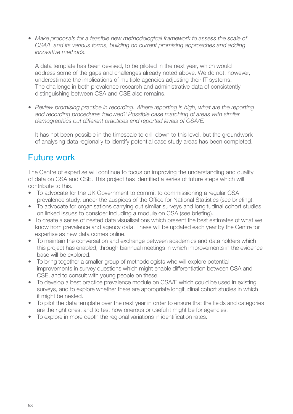<span id="page-52-0"></span>• Make proposals for a feasible new methodological framework to assess the scale of *CSA/E and its various forms, building on current promising approaches and adding innovative methods.* 

A data template has been devised, to be piloted in the next year, which would address some of the gaps and challenges already noted above. We do not, however, underestimate the implications of multiple agencies adjusting their IT systems. The challenge in both prevalence research and administrative data of consistently distinguishing between CSA and CSE also remains.

• *Review promising practice in recording. Where reporting is high, what are the reporting and recording procedures followed? Possible case matching of areas with similar demographics but different practices and reported levels of CSA/E.*

It has not been possible in the timescale to drill down to this level, but the groundwork of analysing data regionally to identify potential case study areas has been completed.

## Future work

The Centre of expertise will continue to focus on improving the understanding and quality of data on CSA and CSE. This project has identified a series of future steps which will contribute to this.

- To advocate for the UK Government to commit to commissioning a regular CSA prevalence study, under the auspices of the Office for National Statistics (see briefing).
- To advocate for organisations carrying out similar surveys and longitudinal cohort studies on linked issues to consider including a module on CSA (see briefing).
- To create a series of nested data visualisations which present the best estimates of what we know from prevalence and agency data. These will be updated each year by the Centre for expertise as new data comes online.
- To maintain the conversation and exchange between academics and data holders which this project has enabled, through biannual meetings in which improvements in the evidence base will be explored.
- To bring together a smaller group of methodologists who will explore potential improvements in survey questions which might enable differentiation between CSA and CSE, and to consult with young people on these.
- To develop a best practice prevalence module on CSA/E which could be used in existing surveys, and to explore whether there are appropriate longitudinal cohort studies in which it might be nested.
- To pilot the data template over the next year in order to ensure that the fields and categories are the right ones, and to test how onerous or useful it might be for agencies.
- To explore in more depth the regional variations in identification rates.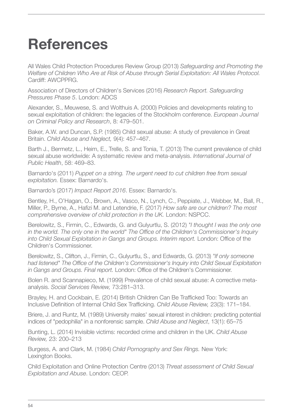# <span id="page-53-0"></span>**References**

All Wales Child Protection Procedures Review Group (2013) *Safeguarding and Promoting the Welfare of Children Who Are at Risk of Abuse through Serial Exploitation: All Wales Protocol.* Cardiff: AWCPPRG.

Association of Directors of Children's Services (2016) *Research Report. Safeguarding Pressures Phase 5*. London: ADCS

Alexander, S., Meuwese, S. and Wolthuis A. (2000) Policies and developments relating to sexual exploitation of children: the legacies of the Stockholm conference. *European Journal on Criminal Policy and Research*, 8: 479–501.

Baker, A.W. and Duncan, S.P. (1985) Child sexual abuse: A study of prevalence in Great Britain. *Child Abuse and Neglect,* 9(4): 457–467.

Barth J., Bermetz, L., Heim, E., Trelle, S. and Tonia, T. (2013) The current prevalence of child sexual abuse worldwide: A systematic review and meta-analysis. *International Journal of Public Health*, 58: 469–83.

Barnardo's (2011) *Puppet on a string. The urgent need to cut children free from sexual exploitation.* Essex: Barnardo's.

Barnardo's (2017) *Impact Report 2016*. Essex: Barnardo's.

Bentley, H., O'Hagan, O., Brown, A., Vasco, N., Lynch, C., Peppiate, J., Webber, M., Ball, R., Miller, P., Byrne, A., Hafizi M. and Letendrie, F. (2017) *How safe are our children? The most comprehensive overview of child protection in the UK.* London: NSPCC.

Berelowitz, S., Firmin, C., Edwards, G. and Gulyurtlu, S. (2012) *"I thought I was the only one in the world. The only one in the world" The Office of the Children's Commissioner's Inquiry into Child Sexual Exploitation in Gangs and Groups. Interim report.* London: Office of the Children's Commissioner.

Berelowitz, S., Clifton, J., Firmin, C., Gulyurtlu, S., and Edwards, G. (2013) *"If only someone had listened" The Office of the Children's Commissioner's Inquiry into Child Sexual Exploitation in Gangs and Groups. Final report.* London: Office of the Children's Commissioner.

Bolen R. and Scannapieco, M. (1999) Prevalence of child sexual abuse: A corrective metaanalysis. *Social Services Review,* 73:281–313.

Brayley, H. and Cockbain, E. (2014) British Children Can Be Trafficked Too: Towards an Inclusive Definition of Internal Child Sex Trafficking. *Child Abuse Review,* 23(3): 171–184.

Briere, J. and Runtz, M. (1989) University males' sexual interest in children: predicting potential indices of "pedophilia" in a nonforensic sample. *Child Abuse and Neglect*, 13(1): 65–75

Bunting, L. (2014) Invisible victims: recorded crime and children in the UK. *Child Abuse Review,* 23: 200–213

Burgess, A. and Clark, M. (1984) *Child Pornography and Sex Rings.* New York: Lexington Books.

Child Exploitation and Online Protection Centre (2013) *Threat assessment of Child Sexual Exploitation and Abuse*. London: CEOP.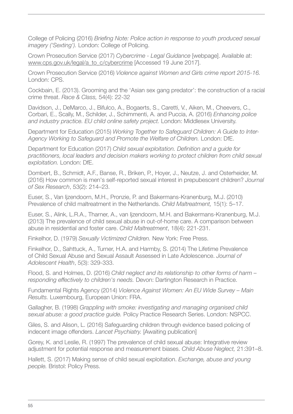College of Policing (2016) *Briefing Note: Police action in response to youth produced sexual imagery ('Sexting').* London: College of Policing.

Crown Prosecution Service (2017) *Cybercrime - Legal Guidance* [webpage]. Available at: [www.cps.gov.uk/legal/a\\_to\\_c/cybercrime](http://www.cps.gov.uk/legal/a_to_c/cybercrime) [Accessed 19 June 2017].

Crown Prosecution Service (2016) *Violence against Women and Girls crime report 2015-16.* London: CPS.

Cockbain, E. (2013). Grooming and the 'Asian sex gang predator': the construction of a racial crime threat. *Race & Class,* 54(4): 22-32

Davidson, J., DeMarco, J., Bifulco, A., Bogaerts, S., Caretti, V., Aiken, M., Cheevers, C., Corbari, E., Scally, M., Schilder, J., Schimmenti, A. and Puccia, A. (2016) *Enhancing police and industry practice. EU child online safety project.* London: Middlesex University.

Department for Education (2015) *Working Together to Safeguard Children: A Guide to Inter-Agency Working to Safeguard and Promote the Welfare of Children.* London: DfE.

Department for Education (2017) *Child sexual exploitation. Definition and a guide for practitioners, local leaders and decision makers working to protect children from child sexual exploitation.* London: DfE.

Dombert, B., Schmidt, A.F., Banse, R., Briken, P., Hoyer, J., Neutze, J. and Osterheider, M. (2016) How common is men's self-reported sexual interest in prepubescent children? *Journal of Sex Research*, 53(2): 214–23.

Euser, S., Van Ijzendoorn, M.H., Pronzie, P. and Bakermans-Kranenburg, M.J. (2010) Prevalence of child maltreatment in the Netherlands. *Child Maltreatment,* 15(1): 5–17.

Euser, S., Alink, L.R.A., Tharner, A., van Ijzendoorn, M.H. and Bakermans-Kranenburg, M.J. (2013) The prevalence of child sexual abuse in out-of-home care. A comparison between abuse in residential and foster care. *Child Maltreatment*, 18(4): 221-231.

Finkelhor, D. (1979) *Sexually Victimized Children.* New York: Free Press.

Finkelhor, D., Sahttuck, A., Turner, H.A. and Harmby, S. (2014) The Lifetime Prevalence of Child Sexual Abuse and Sexual Assault Assessed in Late Adolescence. *Journal of Adolescent Health*, 5(3): 329-333.

Flood, S. and Holmes, D. (2016) *Child neglect and its relationship to other forms of harm – responding effectively to children's needs.* Devon: Dartington Research in Practice.

Fundamental Rights Agency (2014) *Violence Against Women: An EU Wide Survey – Main Results.* Luxembourg, European Union: FRA.

Gallagher, B. (1998) *Grappling with smoke: investigating and managing organised child sexual abuse: a good practice guide.* Policy Practice Research Series. London: NSPCC.

Giles, S. and Alison, L. (2016) Safeguarding children through evidence based policing of indecent image offenders. *Lancet Psychiatry.* [Awaiting publication]

Gorey, K. and Leslie, R. (1997) The prevalence of child sexual abuse: Integrative review adjustment for potential response and measurement biases. *Child Abuse Neglect,* 21:391–8.

Hallett, S. (2017) Making sense of child sexual exploitation. *Exchange, abuse and young people.* Bristol: Policy Press.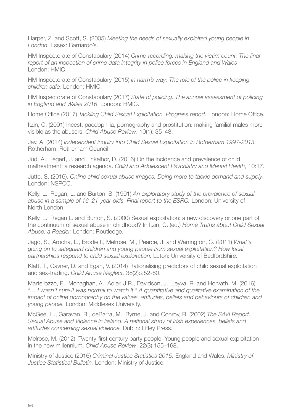Harper, Z. and Scott, S. (2005) *Meeting the needs of sexually exploited young people in London.* Essex: Barnardo's.

HM Inspectorate of Constabulary (2014) *Crime-recording: making the victim count. The final report of an inspection of crime data integrity in police forces in England and Wales*. London: HMIC.

HM Inspectorate of Constabulary (2015) *In harm's way: The role of the police in keeping children safe.* London: HMIC.

HM Inspectorate of Constabulary (2017) *State of policing. The annual assessment of policing in England and Wales 2016*. London: HMIC.

Home Office (2017) *Tackling Child Sexual Exploitation. Progress report.* London: Home Office.

Itzin, C. (2001) Incest, paedophilia, pornography and prostitution: making familial males more visible as the abusers. *Child Abuse Review*, 10(1): 35–48.

Jay, A. (2014) *Independent inquiry into Child Sexual Exploitation in Rotherham 1997-2013.*  Rotherham: Rotherham Council.

Jud, A., Fegert, J. and Finkelhor, D. (2016) On the incidence and prevalence of child maltreatment: a research agenda. *Child and Adolescent Psychiatry and Mental Health*, 10:17.

Jutte, S. (2016). *Online child sexual abuse images. Doing more to tackle demand and supply.*  London: NSPCC.

Kelly, L., Regan, L. and Burton, S. (1991) *An exploratory study of the prevalence of sexual abuse in a sample of 16–21-year-olds. Final report to the ESRC.* London: University of North London.

Kelly, L., Regan L. and Burton, S. (2000) Sexual exploitation: a new discovery or one part of the continuum of sexual abuse in childhood? In Itzin, C. (ed.) *Home Truths about Child Sexual Abuse: a Reader.* London: Routledge.

Jago, S., Arocha, L., Brodie I., Melrose, M., Pearce, J. and Warrington, C. (2011) *What's going on to safeguard children and young people from sexual exploitation? How local partnerships respond to child sexual exploitation.* Luton: University of Bedfordshire.

Klatt, T., Cavner, D. and Egan, V. (2014) Rationalising predictors of child sexual exploitation and sex-trading. *Child Abuse Neglect,* 38(2):252-60.

Martellozzo, E., Monaghan, A., Adler, J.R., Davidson, J., Leyva, R. and Horvath, M. (2016) *"… I wasn't sure it was normal to watch it." A quantitative and qualitative examination of the impact of online pornography on the values, attitudes, beliefs and behaviours of children and young people.* London: Middlesex University.

McGee, H., Garavan, R., deBarra, M., Byrne, J. and Conroy, R. (2002) *The SAVI Report. Sexual Abuse and Violence in Ireland. A national study of Irish experiences, beliefs and attitudes concerning sexual violence.* Dublin: Liffey Press.

Melrose, M. (2012). Twenty-first century party people: Young people and sexual exploitation in the new millennium. *Child Abuse Review*, 22(3):155–168.

Ministry of Justice (2016) *Criminal Justice Statistics 2015.* England and Wales. *Ministry of Justice Statistical Bulletin.* London: Ministry of Justice.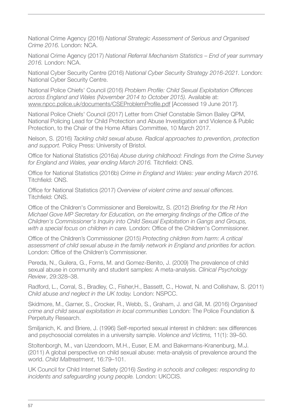National Crime Agency (2016) *National Strategic Assessment of Serious and Organised Crime 2016.* London: NCA.

National Crime Agency (2017) *National Referral Mechanism Statistics – End of year summary 2016.* London: NCA.

National Cyber Security Centre (2016) *National Cyber Security Strategy 2016-2021.* London: National Cyber Security Centre.

National Police Chiefs' Council (2016) *Problem Profile: Child Sexual Exploitation Offences across England and Wales (November 2014 to October 2015).* Available at: [www.npcc.police.uk/documents/CSEProblemProfile.pdf](http://www.npcc.police.uk/documents/CSEProblemProfile.pdf) [Accessed 19 June 2017].

National Police Chiefs' Council (2017) Letter from Chief Constable Simon Bailey QPM, National Policing Lead for Child Protection and Abuse Investigation and Violence & Public Protection, to the Chair of the Home Affairs Committee, 10 March 2017.

Nelson, S. (2016) *Tackling child sexual abuse. Radical approaches to prevention, protection and support.* Policy Press: University of Bristol.

Office for National Statistics (2016a) *Abuse during childhood: Findings from the Crime Survey for England and Wales, year ending March 2016.* Titchfield: ONS.

Office for National Statistics (2016b) *Crime in England and Wales: year ending March 2016.* Titchfield: ONS.

Office for National Statistics (2017) *Overview of violent crime and sexual offences.* Titchfield: ONS.

Office of the Children's Commissioner and Berelowitz, S. (2012) *Briefing for the Rt Hon Michael Gove MP Secretary for Education, on the emerging findings of the Office of the Children's Commissioner's Inquiry into Child Sexual Exploitation in Gangs and Groups, with a special focus on children in care.* London: Office of the Children's Commissioner.

Office of the Children's Commissioner (2015) *Protecting children from harm: A critical assessment of child sexual abuse in the family network in England and priorities for action.*  London: Office of the Children's Commissioner.

Pereda, N., Guilera, G., Forns, M. and Gomez-Benito, J. (2009) The prevalence of child sexual abuse in community and student samples: A meta-analysis. *Clinical Psychology Review*, 29:328–38.

Radford, L., Corral, S., Bradley, C., Fisher, H., Bassett, C., Howat, N. and Collishaw, S. (2011) *Child abuse and neglect in the UK today.* London: NSPCC.

Skidmore, M., Garner, S., Crocker, R., Webb, S., Graham, J. and Gill, M. (2016) *Organised crime and child sexual exploitation in local communities* London: The Police Foundation & Perpetuity Research.

Smiljanich, K. and Briere, J. (1996) Self-reported sexual interest in children: sex differences and psychosocial correlates in a university sample. *Violence and Victims,* 11(1): 39–50.

Stoltenborgh, M., van IJzendoorn, M.H., Euser, E.M. and Bakermans-Kranenburg, M.J. (2011) A global perspective on child sexual abuse: meta-analysis of prevalence around the world. *Child Maltreatment*, 16:79–101.

UK Council for Child Internet Safety (2016) *Sexting in schools and colleges: responding to incidents and safeguarding young people.* London: UKCCIS.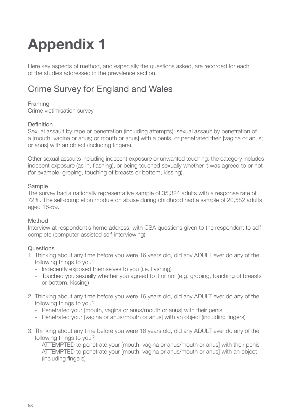# <span id="page-57-0"></span>**Appendix 1**

Here key aspects of method, and especially the questions asked, are recorded for each of the studies addressed in the prevalence section.

# Crime Survey for England and Wales

## Framing

Crime victimisation survey

## Definition

Sexual assault by rape or penetration (including attempts): sexual assault by penetration of a [mouth, vagina or anus; or mouth or anus] with a penis, or penetrated their [vagina or anus; or anus] with an object (including fingers).

Other sexual assaults including indecent exposure or unwanted touching: the category includes indecent exposure (as in, flashing), or being touched sexually whether it was agreed to or not (for example, groping, touching of breasts or bottom, kissing).

### Sample

The survey had a nationally representative sample of 35,324 adults with a response rate of 72%. The self-completion module on abuse during childhood had a sample of 20,582 adults aged 16-59.

## Method

Interview at respondent's home address, with CSA questions given to the respondent to selfcomplete (computer-assisted self-interviewing)

## **Questions**

- 1. Thinking about any time before you were 16 years old, did any ADULT ever do any of the following things to you?
	- Indecently exposed themselves to you (i.e. flashing)
	- Touched you sexually whether you agreed to it or not (e.g. groping, touching of breasts or bottom, kissing)
- 2. Thinking about any time before you were 16 years old, did any ADULT ever do any of the following things to you?
	- Penetrated your [mouth, vagina or anus/mouth or anus] with their penis
	- Penetrated your [vagina or anus/mouth or anus] with an object (including fingers)
- 3. Thinking about any time before you were 16 years old, did any ADULT ever do any of the following things to you?
	- ATTEMPTED to penetrate your [mouth, vagina or anus/mouth or anus] with their penis
	- ATTEMPTED to penetrate your [mouth, vagina or anus/mouth or anus] with an object (including fingers)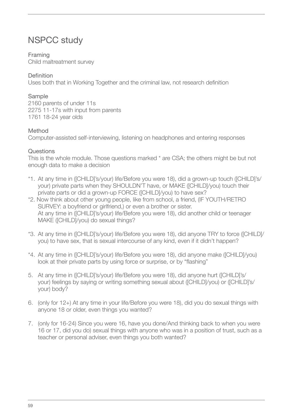## <span id="page-58-0"></span>NSPCC study

## Framing

Child maltreatment survey

## Definition

Uses both that in Working Together and the criminal law, not research definition

## Sample

2160 parents of under 11s 2275 11-17s with input from parents 1761 18-24 year olds

## Method

Computer-assisted self-interviewing, listening on headphones and entering responses

## **Questions**

This is the whole module. Those questions marked \* are CSA; the others might be but not enough data to make a decision

- \*1. At any time in ([CHILD]'s/your) life/Before you were 18), did a grown-up touch ([CHILD]'s/ your) private parts when they SHOULDN'T have, or MAKE ([CHILD]/you) touch their private parts or did a grown-up FORCE ([CHILD]/you) to have sex?
- \*2. Now think about other young people, like from school, a friend, (IF YOUTH/RETRO SURVEY: a boyfriend or girlfriend,) or even a brother or sister. At any time in ([CHILD]'s/your) life/Before you were 18), did another child or teenager MAKE ([CHILD]/you) do sexual things?
- \*3. At any time in ([CHILD]'s/your) life/Before you were 18), did anyone TRY to force ([CHILD]/ you) to have sex, that is sexual intercourse of any kind, even if it didn't happen?
- \*4. At any time in ([CHILD]'s/your) life/Before you were 18), did anyone make ([CHILD]/you) look at their private parts by using force or surprise, or by "flashing"
- 5. At any time in ([CHILD]'s/your) life/Before you were 18), did anyone hurt ([CHILD]'s/ your) feelings by saying or writing something sexual about ([CHILD]/you) or ([CHILD]'s/ your) body?
- 6. (only for 12+) At any time in your life/Before you were 18), did you do sexual things with anyone 18 or older, even things you wanted?
- 7. (only for 16-24) Since you were 16, have you done/And thinking back to when you were 16 or 17, did you do) sexual things with anyone who was in a position of trust, such as a teacher or personal adviser, even things you both wanted?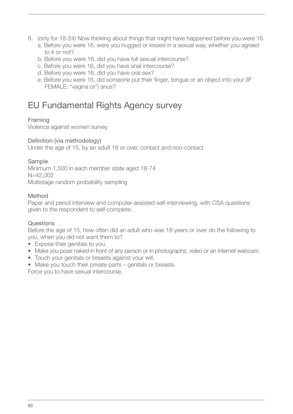- <span id="page-59-0"></span>8. (only for 18-24) Now thinking about things that might have happened before you were 16. a. Before you were 16, were you hugged or kissed in a sexual way, whether you agreed
	- to it or not?
	- b. Before you were 16, did you have full sexual intercourse?
	- c. Before you were 16, did you have anal intercourse?
	- d. Before you were 16, did you have oral sex?
	- e. Before you were 16, did someone put their finger, tongue or an object into your (IF FEMALE: "vagina or") anus?

## EU Fundamental Rights Agency survey

## Framing

Violence against women survey

## Definition (via methodology)

Under the age of 15, by an adult 18 or over, contact and non-contact

## Sample

Minimum 1,500 in each member state aged 18-74 N=42,002 Multistage random probability sampling

## Method

Paper and pencil interview and computer-assisted self-interviewing, with CSA questions given to the respondent to self-complete.

## **Questions**

Before the age of 15, how often did an adult who was 18 years or over do the following to you, when you did not want them to?

- Expose their genitals to you.
- Make you pose naked in front of any person or in photographs, video or an internet webcam.
- Touch your genitals or breasts against your will.
- Make you touch their private parts genitals or breasts.

Force you to have sexual intercourse.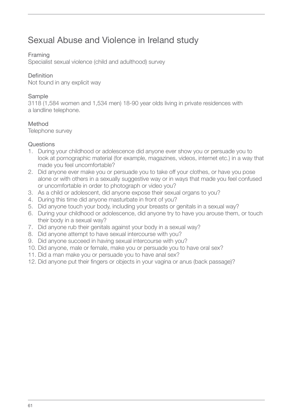## <span id="page-60-0"></span>Sexual Abuse and Violence in Ireland study

## Framing

Specialist sexual violence (child and adulthood) survey

## Definition

Not found in any explicit way

## Sample

3118 (1,584 women and 1,534 men) 18-90 year olds living in private residences with a landline telephone.

## Method

Telephone survey

## **Questions**

- 1. During your childhood or adolescence did anyone ever show you or persuade you to look at pornographic material (for example, magazines, videos, internet etc.) in a way that made you feel uncomfortable?
- 2. Did anyone ever make you or persuade you to take off your clothes, or have you pose alone or with others in a sexually suggestive way or in ways that made you feel confused or uncomfortable in order to photograph or video you?
- 3. As a child or adolescent, did anyone expose their sexual organs to you?
- 4. During this time did anyone masturbate in front of you?
- 5. Did anyone touch your body, including your breasts or genitals in a sexual way?
- 6. During your childhood or adolescence, did anyone try to have you arouse them, or touch their body in a sexual way?
- 7. Did anyone rub their genitals against your body in a sexual way?
- 8. Did anyone attempt to have sexual intercourse with you?
- 9. Did anyone succeed in having sexual intercourse with you?
- 10. Did anyone, male or female, make you or persuade you to have oral sex?
- 11. Did a man make you or persuade you to have anal sex?
- 12. Did anyone put their fingers or objects in your vagina or anus (back passage)?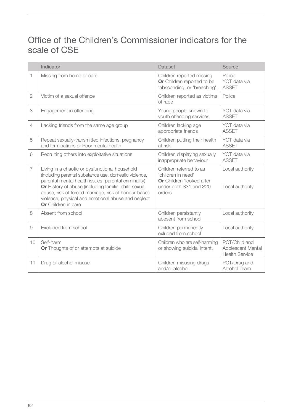## <span id="page-61-0"></span>Office of the Children's Commissioner indicators for the scale of CSE

|                | Indicator                                                                                                                                                                                                                                                                                                                                                    | <b>Dataset</b>                                                                                                  | Source                                                      |
|----------------|--------------------------------------------------------------------------------------------------------------------------------------------------------------------------------------------------------------------------------------------------------------------------------------------------------------------------------------------------------------|-----------------------------------------------------------------------------------------------------------------|-------------------------------------------------------------|
| 1              | Missing from home or care                                                                                                                                                                                                                                                                                                                                    | Children reported missing<br>Or Children reported to be<br>'absconding' or 'breaching'.                         | Police<br>YOT data via<br><b>ASSET</b>                      |
| $\overline{2}$ | Victim of a sexual offence                                                                                                                                                                                                                                                                                                                                   | Children reported as victims<br>of rape                                                                         | Police                                                      |
| 3              | Engagement in offending                                                                                                                                                                                                                                                                                                                                      | Young people known to<br>youth offending services                                                               | YOT data via<br><b>ASSET</b>                                |
| $\overline{4}$ | Lacking friends from the same age group                                                                                                                                                                                                                                                                                                                      | Children lacking age<br>appropriate friends                                                                     | YOT data via<br><b>ASSET</b>                                |
| 5              | Repeat sexually-transmitted infections, pregnancy<br>and terminations or Poor mental health                                                                                                                                                                                                                                                                  | Children putting their health<br>at risk                                                                        | YOT data via<br><b>ASSET</b>                                |
| 6              | Recruiting others into exploitative situations                                                                                                                                                                                                                                                                                                               | Children displaying sexually<br>inappropriate behaviour                                                         | YOT data via<br><b>ASSET</b>                                |
| $\overline{7}$ | Living in a chaotic or dysfunctional household<br>(including parental substance use, domestic violence,<br>parental mental health issues, parental criminality)<br>Or History of abuse (including familial child sexual<br>abuse, risk of forced marriage, risk of honour-based<br>violence, physical and emotional abuse and neglect<br>Or Children in care | Children referred to as<br>'children in need'<br>Or Children 'looked after'<br>under both S31 and S20<br>orders | Local authority<br>Local authority                          |
| 8              | Absent from school                                                                                                                                                                                                                                                                                                                                           | Children persistantly<br>abesent from school                                                                    | Local authority                                             |
| $\overline{9}$ | Excluded from school                                                                                                                                                                                                                                                                                                                                         | Children permanently<br>exluded from school                                                                     | Local authority                                             |
| 10             | Self-harm<br>Or Thoughts of or attempts at suicide                                                                                                                                                                                                                                                                                                           | Children who are self-harming<br>or showing suicidal intent.                                                    | PCT/Child and<br>Adolescent Mental<br><b>Health Service</b> |
| 11             | Drug or alcohol misuse                                                                                                                                                                                                                                                                                                                                       | Children misusing drugs<br>and/or alcohol                                                                       | PCT/Drug and<br>Alcohol Team                                |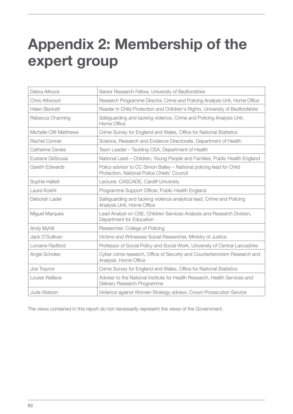# <span id="page-62-0"></span>**Appendix 2: Membership of the expert group**

| Debra Allnock                  | Senior Research Fellow, University of Bedfordshire                                                                  |
|--------------------------------|---------------------------------------------------------------------------------------------------------------------|
| Chris Attwood                  | Research Programme Director, Crime and Policing Analysis Unit, Home Office                                          |
| Helen Beckett                  | Reader in Child Protection and Children's Rights, University of Bedfordshire                                        |
| Rebecca Channing               | Safeguarding and tacking violence, Crime and Policing Analysis Unit,<br>Home Office                                 |
| <b>Michelle Clift Matthews</b> | Crime Survey for England and Wales, Office for National Statistics                                                  |
| Rachel Conner                  | Science, Research and Evidence Directorate, Department of Health                                                    |
| <b>Catherine Davies</b>        | Team Leader - Tackling CSA, Department of Health                                                                    |
| Eustace DeSousa                | National Lead - Children, Young People and Families, Public Health England                                          |
| <b>Gareth Edwards</b>          | Policy advisor to CC Simon Bailey - National policing lead for Child<br>Protection, National Police Chiefs' Council |
| Sophie Hallett                 | Lecturer, CASCADE, Cardiff University                                                                               |
| Laura Koehli                   | Programme Support Officer, Public Health England                                                                    |
| Deborah Lader                  | Safeguarding and tacking violence analytical lead, Crime and Policing<br>Analysis Unit, Home Office                 |
| <b>Miguel Marques</b>          | Lead Analyst on CSE, Children Services Analysis and Research Division,<br>Department for Education                  |
| Andy Myhill                    | Researcher, College of Policing                                                                                     |
| Jack O'Sullivan                | Victims and Witnesses Social Researcher, Ministry of Justice                                                        |
| Lorraine Radford               | Professor of Social Policy and Social Work, University of Central Lancashire                                        |
| Angie Scholes                  | Cyber crime research, Office of Security and Counterterrorism Research and<br>Analysis, Home Office                 |
| Joe Traynor                    | Crime Survey for England and Wales, Office for National Statistics                                                  |
| Louise Wallace                 | Adviser to the National Institute for Health Research, Health Services and<br>Delivery Research Programme           |
| Jude Watson                    | Violence against Women Strategy advisor, Crown Prosecution Service                                                  |

The views contained in this report do not necessarily represent the views of the Government.